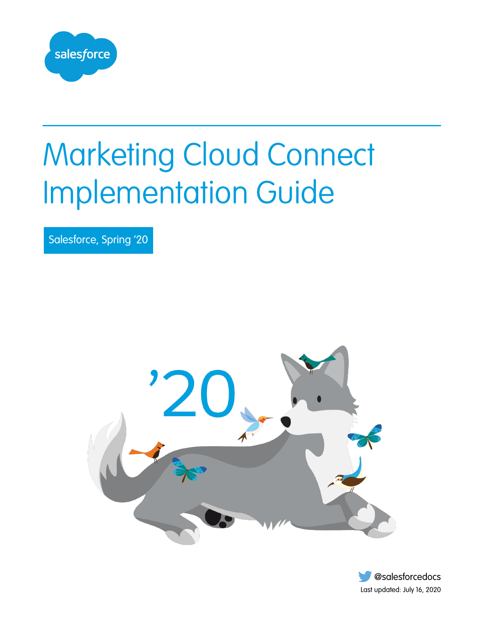

# Marketing Cloud Connect Implementation Guide

Salesforce, Spring '20



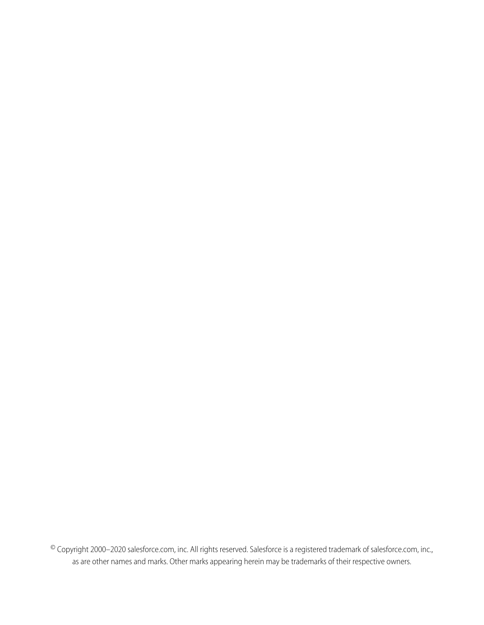© Copyright 2000–2020 salesforce.com, inc. All rights reserved. Salesforce is a registered trademark of salesforce.com, inc., as are other names and marks. Other marks appearing herein may be trademarks of their respective owners.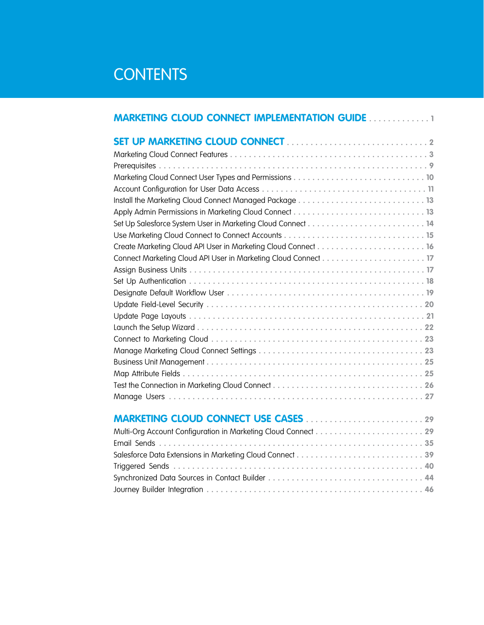### **CONTENTS**

| <b>MARKETING CLOUD CONNECT IMPLEMENTATION GUIDE 1</b> |
|-------------------------------------------------------|
|                                                       |
|                                                       |
|                                                       |
|                                                       |
|                                                       |
|                                                       |
|                                                       |
|                                                       |
|                                                       |
|                                                       |
|                                                       |
|                                                       |
|                                                       |
|                                                       |
|                                                       |
|                                                       |
|                                                       |
|                                                       |
|                                                       |
|                                                       |
|                                                       |
|                                                       |
|                                                       |
| <b>MARKETING CLOUD CONNECT USE CASES 29</b>           |
|                                                       |
|                                                       |
|                                                       |
|                                                       |
|                                                       |

[Journey Builder Integration](#page-49-0) **. . . . . . . . . . . . . . . . . . . . . . . . . . . . . . . . . . . . . . . . . . . . . . 46**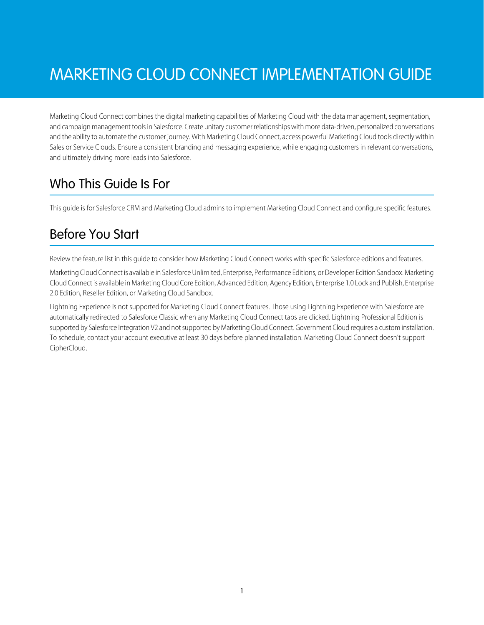## <span id="page-4-0"></span>MARKETING CLOUD CONNECT IMPLEMENTATION GUIDE

Marketing Cloud Connect combines the digital marketing capabilities of Marketing Cloud with the data management, segmentation, and campaign management tools in Salesforce. Create unitary customer relationships with more data-driven, personalized conversations and the ability to automate the customer journey. With Marketing Cloud Connect, access powerful Marketing Cloud tools directly within Sales or Service Clouds. Ensure a consistent branding and messaging experience, while engaging customers in relevant conversations, and ultimately driving more leads into Salesforce.

### Who This Guide Is For

This guide is for Salesforce CRM and Marketing Cloud admins to implement Marketing Cloud Connect and configure specific features.

### Before You Start

Review the feature list in this guide to consider how Marketing Cloud Connect works with specific Salesforce editions and features.

Marketing Cloud Connect is available in Salesforce Unlimited, Enterprise, Performance Editions, or Developer Edition Sandbox. Marketing Cloud Connect is available in Marketing Cloud Core Edition, Advanced Edition, Agency Edition, Enterprise 1.0 Lock and Publish, Enterprise 2.0 Edition, Reseller Edition, or Marketing Cloud Sandbox.

Lightning Experience is not supported for Marketing Cloud Connect features. Those using Lightning Experience with Salesforce are automatically redirected to Salesforce Classic when any Marketing Cloud Connect tabs are clicked. Lightning Professional Edition is supported by Salesforce Integration V2 and not supported by Marketing Cloud Connect. Government Cloud requires a custom installation. To schedule, contact your account executive at least 30 days before planned installation. Marketing Cloud Connect doesn't support CipherCloud.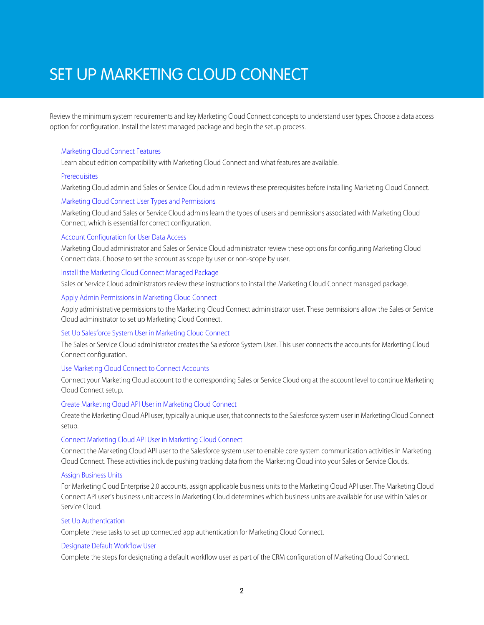### <span id="page-5-0"></span>SET UP MARKETING CLOUD CONNECT

Review the minimum system requirements and key Marketing Cloud Connect concepts to understand user types. Choose a data access option for configuration. Install the latest managed package and begin the setup process.

#### [Marketing Cloud Connect Features](#page-6-0)

Learn about edition compatibility with Marketing Cloud Connect and what features are available.

#### [Prerequisites](#page-12-0)

Marketing Cloud admin and Sales or Service Cloud admin reviews these prerequisites before installing Marketing Cloud Connect.

#### [Marketing Cloud Connect User Types and Permissions](#page-13-0)

Marketing Cloud and Sales or Service Cloud admins learn the types of users and permissions associated with Marketing Cloud Connect, which is essential for correct configuration.

#### [Account Configuration for User Data Access](#page-14-0)

Marketing Cloud administrator and Sales or Service Cloud administrator review these options for configuring Marketing Cloud Connect data. Choose to set the account as scope by user or non-scope by user.

#### [Install the Marketing Cloud Connect Managed Package](#page-16-0)

Sales or Service Cloud administrators review these instructions to install the Marketing Cloud Connect managed package.

#### [Apply Admin Permissions in Marketing Cloud Connect](#page-16-1)

Apply administrative permissions to the Marketing Cloud Connect administrator user. These permissions allow the Sales or Service Cloud administrator to set up Marketing Cloud Connect.

#### [Set Up Salesforce System User in Marketing Cloud Connect](#page-17-0)

The Sales or Service Cloud administrator creates the Salesforce System User. This user connects the accounts for Marketing Cloud Connect configuration.

#### [Use Marketing Cloud Connect to Connect Accounts](#page-18-0)

Connect your Marketing Cloud account to the corresponding Sales or Service Cloud org at the account level to continue Marketing Cloud Connect setup.

#### [Create Marketing Cloud API User in Marketing Cloud Connect](#page-19-0)

Create the Marketing Cloud API user, typically a unique user, that connects to the Salesforce system user in Marketing Cloud Connect setup.

#### [Connect Marketing Cloud API User in Marketing Cloud Connect](#page-20-0)

Connect the Marketing Cloud API user to the Salesforce system user to enable core system communication activities in Marketing Cloud Connect. These activities include pushing tracking data from the Marketing Cloud into your Sales or Service Clouds.

#### [Assign Business Units](#page-20-1)

For Marketing Cloud Enterprise 2.0 accounts, assign applicable business units to the Marketing Cloud API user. The Marketing Cloud Connect API user's business unit access in Marketing Cloud determines which business units are available for use within Sales or Service Cloud.

#### [Set Up Authentication](#page-21-0)

Complete these tasks to set up connected app authentication for Marketing Cloud Connect.

#### [Designate Default Workflow User](#page-22-0)

Complete the steps for designating a default workflow user as part of the CRM configuration of Marketing Cloud Connect.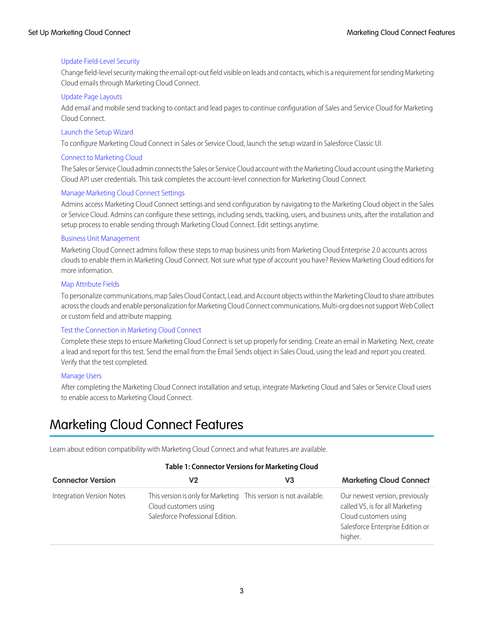#### [Update Field-Level Security](#page-23-0)

Change field-level security making the email opt-out field visible on leads and contacts, which is a requirement for sending Marketing Cloud emails through Marketing Cloud Connect.

#### [Update Page Layouts](#page-24-0)

Add email and mobile send tracking to contact and lead pages to continue configuration of Sales and Service Cloud for Marketing Cloud Connect.

#### [Launch the Setup Wizard](#page-25-0)

To configure Marketing Cloud Connect in Sales or Service Cloud, launch the setup wizard in Salesforce Classic UI.

#### [Connect to Marketing Cloud](#page-26-0)

The Sales or Service Cloud admin connects the Sales or Service Cloud account with the Marketing Cloud account using the Marketing Cloud API user credentials. This task completes the account-level connection for Marketing Cloud Connect.

#### [Manage Marketing Cloud Connect Settings](#page-26-1)

Admins access Marketing Cloud Connect settings and send configuration by navigating to the Marketing Cloud object in the Sales or Service Cloud. Admins can configure these settings, including sends, tracking, users, and business units, after the installation and setup process to enable sending through Marketing Cloud Connect. Edit settings anytime.

#### [Business Unit Management](#page-28-0)

Marketing Cloud Connect admins follow these steps to map business units from Marketing Cloud Enterprise 2.0 accounts across clouds to enable them in Marketing Cloud Connect. Not sure what type of account you have? Review Marketing Cloud editions for more information.

#### [Map Attribute Fields](#page-28-1)

To personalize communications, map Sales Cloud Contact, Lead, and Account objects within the Marketing Cloud to share attributes across the clouds and enable personalization for Marketing Cloud Connect communications. Multi-org does not support Web Collect or custom field and attribute mapping.

#### [Test the Connection in Marketing Cloud Connect](#page-29-0)

Complete these steps to ensure Marketing Cloud Connect is set up properly for sending. Create an email in Marketing. Next, create a lead and report for this test. Send the email from the Email Sends object in Sales Cloud, using the lead and report you created. Verify that the test completed.

#### <span id="page-6-0"></span>[Manage Users](#page-30-0)

After completing the Marketing Cloud Connect installation and setup, integrate Marketing Cloud and Sales or Service Cloud users to enable access to Marketing Cloud Connect.

### Marketing Cloud Connect Features

Learn about edition compatibility with Marketing Cloud Connect and what features are available.

#### **Table 1: Connector Versions for Marketing Cloud**

| <b>Connector Version</b>         | V <sub>2</sub>                                                                                                                 | V <sub>3</sub> | <b>Marketing Cloud Connect</b>                                                                                                            |
|----------------------------------|--------------------------------------------------------------------------------------------------------------------------------|----------------|-------------------------------------------------------------------------------------------------------------------------------------------|
| <b>Integration Version Notes</b> | This version is only for Marketing This version is not available.<br>Cloud customers using<br>Salesforce Professional Edition. |                | Our newest version, previously<br>called V5, is for all Marketing<br>Cloud customers using<br>Salesforce Enterprise Edition or<br>higher. |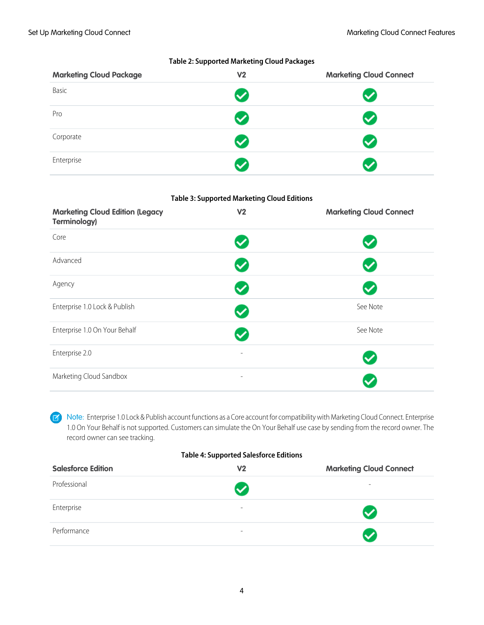| <b>Marketing Cloud Package</b> | V <sub>2</sub> | <b>Marketing Cloud Connect</b> |
|--------------------------------|----------------|--------------------------------|
| Basic                          |                |                                |
| Pro                            |                |                                |
| Corporate                      |                |                                |
| Enterprise                     |                |                                |

#### **Table 2: Supported Marketing Cloud Packages**

#### **Table 3: Supported Marketing Cloud Editions**

| <b>Marketing Cloud Edition (Legacy</b><br><b>Terminology)</b> | V <sub>2</sub>           | <b>Marketing Cloud Connect</b> |
|---------------------------------------------------------------|--------------------------|--------------------------------|
| Core                                                          |                          |                                |
| Advanced                                                      |                          | ✓                              |
| Agency                                                        |                          |                                |
| Enterprise 1.0 Lock & Publish                                 |                          | See Note                       |
| Enterprise 1.0 On Your Behalf                                 |                          | See Note                       |
| Enterprise 2.0                                                | $\overline{\phantom{a}}$ |                                |
| Marketing Cloud Sandbox                                       | $\overline{\phantom{a}}$ |                                |

Note: Enterprise 1.0 Lock & Publish account functions as a Core account for compatibility with Marketing Cloud Connect. Enterprise  $\boldsymbol{\sigma}$ 1.0 On Your Behalf is not supported. Customers can simulate the On Your Behalf use case by sending from the record owner. The record owner can see tracking.

#### **Table 4: Supported Salesforce Editions**

| <b>Salesforce Edition</b> | V <sub>2</sub>           | <b>Marketing Cloud Connect</b> |
|---------------------------|--------------------------|--------------------------------|
| Professional              | $\bullet$                | $\overline{\phantom{a}}$       |
| Enterprise                | $\overline{\phantom{a}}$ | $\boldsymbol{\mathcal{S}}$     |
| Performance               | $\overline{\phantom{a}}$ | $\boldsymbol{\nu}$             |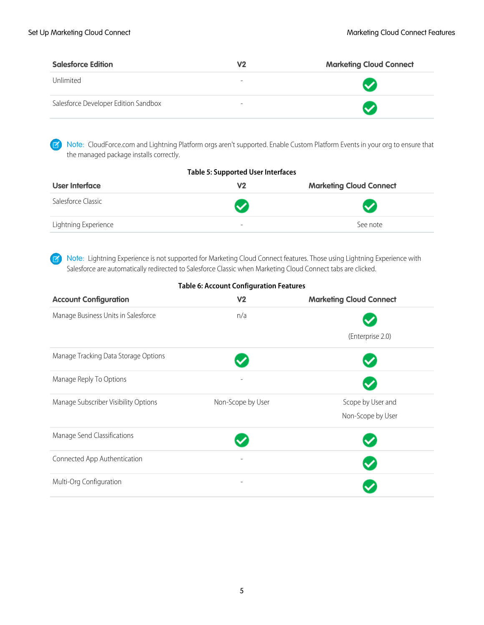| <b>Salesforce Edition</b>            | V2                       | <b>Marketing Cloud Connect</b> |
|--------------------------------------|--------------------------|--------------------------------|
| Unlimited                            | $\overline{\phantom{a}}$ |                                |
| Salesforce Developer Edition Sandbox | -                        |                                |

Note: CloudForce.com and Lightning Platform orgs aren't supported. Enable Custom Platform Events in your org to ensure that the managed package installs correctly.

| <b>Table 5: Supported User Interfaces</b> |                            |                                |  |
|-------------------------------------------|----------------------------|--------------------------------|--|
| User Interface                            | V <sub>2</sub>             | <b>Marketing Cloud Connect</b> |  |
| Salesforce Classic                        | $\boldsymbol{\mathcal{S}}$ | $\bullet$                      |  |
| Lightning Experience                      | $\overline{\phantom{a}}$   | See note                       |  |

Note: Lightning Experience is not supported for Marketing Cloud Connect features. Those using Lightning Experience with Salesforce are automatically redirected to Salesforce Classic when Marketing Cloud Connect tabs are clicked.

| <b>Table 6: Account Configuration Features</b> |
|------------------------------------------------|
|------------------------------------------------|

| <b>Account Configuration</b>         | V <sub>2</sub>           | <b>Marketing Cloud Connect</b> |
|--------------------------------------|--------------------------|--------------------------------|
| Manage Business Units in Salesforce  | n/a                      |                                |
|                                      |                          | (Enterprise 2.0)               |
| Manage Tracking Data Storage Options |                          |                                |
| Manage Reply To Options              |                          |                                |
| Manage Subscriber Visibility Options | Non-Scope by User        | Scope by User and              |
|                                      |                          | Non-Scope by User              |
| Manage Send Classifications          |                          |                                |
| Connected App Authentication         |                          |                                |
| Multi-Org Configuration              | $\overline{\phantom{0}}$ |                                |

5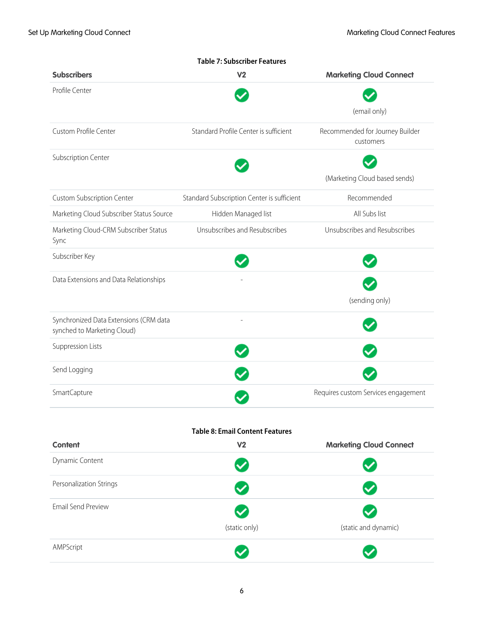|                                                                       | <b>Table 7: Subscriber Features</b>        |                                              |
|-----------------------------------------------------------------------|--------------------------------------------|----------------------------------------------|
| <b>Subscribers</b>                                                    | V <sub>2</sub>                             | <b>Marketing Cloud Connect</b>               |
| Profile Center                                                        |                                            |                                              |
|                                                                       |                                            | (email only)                                 |
| Custom Profile Center                                                 | Standard Profile Center is sufficient      | Recommended for Journey Builder<br>customers |
| Subscription Center                                                   |                                            |                                              |
|                                                                       |                                            | (Marketing Cloud based sends)                |
| <b>Custom Subscription Center</b>                                     | Standard Subscription Center is sufficient | Recommended                                  |
| Marketing Cloud Subscriber Status Source                              | Hidden Managed list                        | All Subs list                                |
| Marketing Cloud-CRM Subscriber Status<br>Sync                         | Unsubscribes and Resubscribes              | Unsubscribes and Resubscribes                |
| Subscriber Key                                                        |                                            |                                              |
| Data Extensions and Data Relationships                                |                                            |                                              |
|                                                                       |                                            | (sending only)                               |
| Synchronized Data Extensions (CRM data<br>synched to Marketing Cloud) |                                            |                                              |
| Suppression Lists                                                     |                                            |                                              |
| Send Logging                                                          |                                            |                                              |
| SmartCapture                                                          |                                            | Requires custom Services engagement          |
|                                                                       | <b>Table 8: Email Content Features</b>     |                                              |
| <b>Content</b>                                                        | V <sub>2</sub>                             | <b>Marketing Cloud Connect</b>               |
| Dynamic Content                                                       |                                            |                                              |
| Personalization Strings                                               |                                            |                                              |
| <b>Email Send Preview</b>                                             |                                            |                                              |
|                                                                       | (static only)                              | (static and dynamic)                         |
| AMPScript                                                             |                                            |                                              |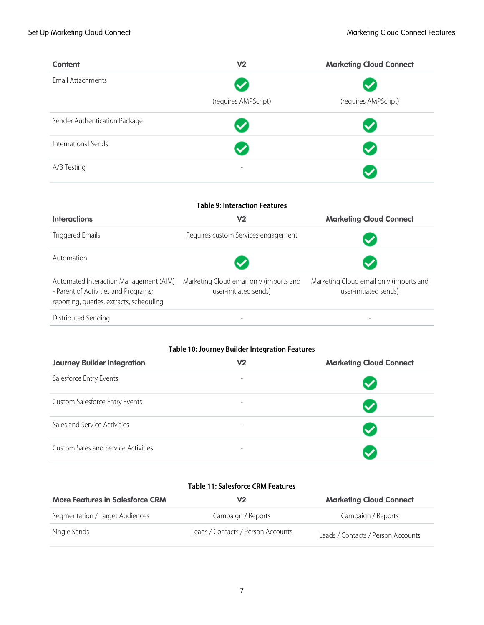| <b>Content</b>                | V <sub>2</sub>       | <b>Marketing Cloud Connect</b> |
|-------------------------------|----------------------|--------------------------------|
| Email Attachments             |                      | $\checkmark$                   |
|                               | (requires AMPScript) | (requires AMPScript)           |
| Sender Authentication Package |                      |                                |
| International Sends           |                      |                                |
| A/B Testing                   | -                    |                                |

| <b>Table 9: Interaction Features</b>                                                                                       |                                                                  |                                                                  |  |
|----------------------------------------------------------------------------------------------------------------------------|------------------------------------------------------------------|------------------------------------------------------------------|--|
| <b>Interactions</b>                                                                                                        | V2                                                               | <b>Marketing Cloud Connect</b>                                   |  |
| <b>Triggered Emails</b>                                                                                                    | Requires custom Services engagement                              |                                                                  |  |
| Automation                                                                                                                 |                                                                  |                                                                  |  |
| Automated Interaction Management (AIM)<br>- Parent of Activities and Programs;<br>reporting, queries, extracts, scheduling | Marketing Cloud email only (imports and<br>user-initiated sends) | Marketing Cloud email only (imports and<br>user-initiated sends) |  |
| Distributed Sending                                                                                                        |                                                                  |                                                                  |  |

#### **Table 10: Journey Builder Integration Features**

| <b>Journey Builder Integration</b>  | V2                       | <b>Marketing Cloud Connect</b> |
|-------------------------------------|--------------------------|--------------------------------|
| Salesforce Entry Events             | $\overline{\phantom{a}}$ | $\blacktriangledown$           |
| Custom Salesforce Entry Events      | -                        | $\blacktriangledown$           |
| Sales and Service Activities        | -                        | $\checkmark$                   |
| Custom Sales and Service Activities | $\overline{\phantom{0}}$ |                                |

#### **Table 11: Salesforce CRM Features**

| <b>More Features in Salesforce CRM</b> | V2                                 | <b>Marketing Cloud Connect</b>     |
|----------------------------------------|------------------------------------|------------------------------------|
| Segmentation / Target Audiences        | Campaign / Reports                 | Campaign / Reports                 |
| Single Sends                           | Leads / Contacts / Person Accounts | Leads / Contacts / Person Accounts |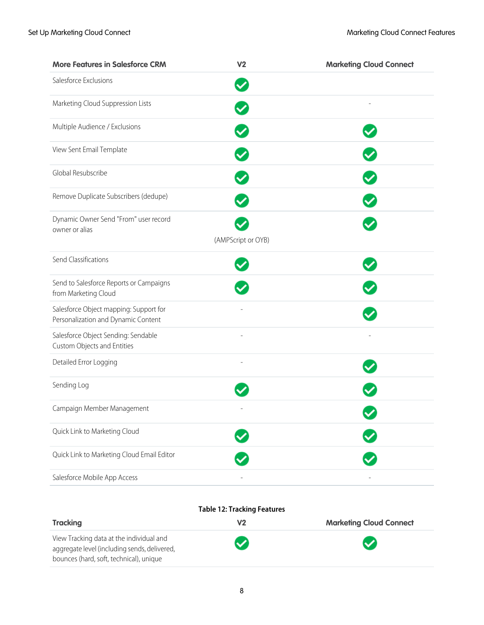| <b>More Features in Salesforce CRM</b>                                        | V <sub>2</sub>     | <b>Marketing Cloud Connect</b> |
|-------------------------------------------------------------------------------|--------------------|--------------------------------|
| Salesforce Exclusions                                                         |                    |                                |
| Marketing Cloud Suppression Lists                                             |                    |                                |
| Multiple Audience / Exclusions                                                |                    |                                |
| View Sent Email Template                                                      |                    |                                |
| Global Resubscribe                                                            |                    |                                |
| Remove Duplicate Subscribers (dedupe)                                         |                    |                                |
| Dynamic Owner Send "From" user record<br>owner or alias                       |                    |                                |
|                                                                               | (AMPScript or OYB) |                                |
| Send Classifications                                                          |                    |                                |
| Send to Salesforce Reports or Campaigns<br>from Marketing Cloud               |                    |                                |
| Salesforce Object mapping: Support for<br>Personalization and Dynamic Content |                    |                                |
| Salesforce Object Sending: Sendable<br>Custom Objects and Entities            |                    |                                |
| Detailed Error Logging                                                        |                    |                                |
| Sending Log                                                                   |                    |                                |
| Campaign Member Management                                                    |                    |                                |
| Quick Link to Marketing Cloud                                                 |                    |                                |
| Quick Link to Marketing Cloud Email Editor                                    |                    |                                |
| Salesforce Mobile App Access                                                  |                    |                                |

#### **Table 12: Tracking Features**

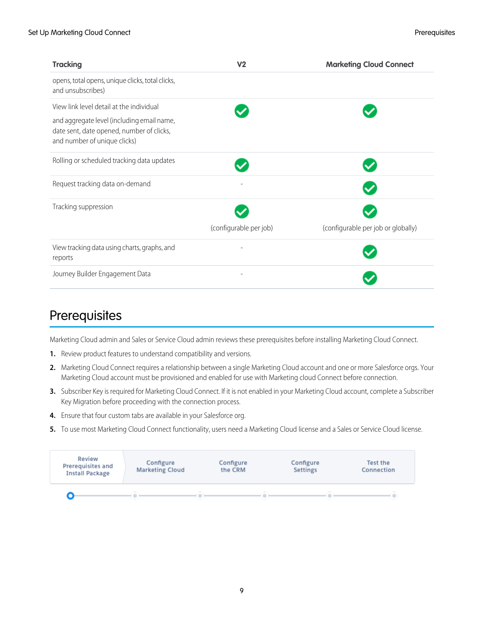| <b>Tracking</b>                                                                                                         | V <sub>2</sub>         | <b>Marketing Cloud Connect</b>     |
|-------------------------------------------------------------------------------------------------------------------------|------------------------|------------------------------------|
| opens, total opens, unique clicks, total clicks,<br>and unsubscribes)                                                   |                        |                                    |
| View link level detail at the individual                                                                                |                        |                                    |
| and aggregate level (including email name,<br>date sent, date opened, number of clicks,<br>and number of unique clicks) |                        |                                    |
| Rolling or scheduled tracking data updates                                                                              |                        |                                    |
| Request tracking data on-demand                                                                                         |                        |                                    |
| Tracking suppression                                                                                                    |                        |                                    |
|                                                                                                                         | (configurable per job) | (configurable per job or globally) |
| View tracking data using charts, graphs, and<br>reports                                                                 |                        |                                    |
| Journey Builder Engagement Data                                                                                         |                        |                                    |

### <span id="page-12-0"></span>**Prerequisites**

Marketing Cloud admin and Sales or Service Cloud admin reviews these prerequisites before installing Marketing Cloud Connect.

- **1.** Review product features to understand compatibility and versions.
- **2.** Marketing Cloud Connect requires a relationship between a single Marketing Cloud account and one or more Salesforce orgs. Your Marketing Cloud account must be provisioned and enabled for use with Marketing cloud Connect before connection.
- **3.** Subscriber Key is required for Marketing Cloud Connect. If it is not enabled in your Marketing Cloud account, complete a Subscriber Key Migration before proceeding with the connection process.
- **4.** Ensure that four custom tabs are available in your Salesforce org.
- **5.** To use most Marketing Cloud Connect functionality, users need a Marketing Cloud license and a Sales or Service Cloud license.

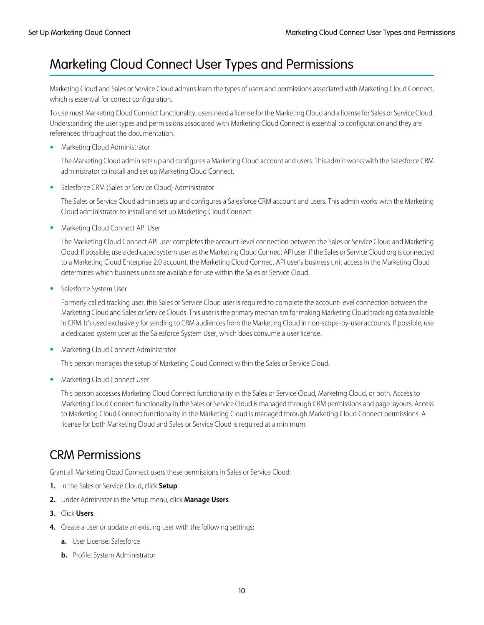### <span id="page-13-0"></span>Marketing Cloud Connect User Types and Permissions

Marketing Cloud and Sales or Service Cloud admins learn the types of users and permissions associated with Marketing Cloud Connect, which is essential for correct configuration.

To use most Marketing Cloud Connect functionality, users need a license for the Marketing Cloud and a license for Sales or Service Cloud. Understanding the user types and permissions associated with Marketing Cloud Connect is essential to configuration and they are referenced throughout the documentation.

**•** Marketing Cloud Administrator

The Marketing Cloud admin sets up and configures a Marketing Cloud account and users. This admin works with the Salesforce CRM administrator to install and set up Marketing Cloud Connect.

**•** Salesforce CRM (Sales or Service Cloud) Administrator

The Sales or Service Cloud admin sets up and configures a Salesforce CRM account and users. This admin works with the Marketing Cloud administrator to install and set up Marketing Cloud Connect.

**•** Marketing Cloud Connect API User

The Marketing Cloud Connect API user completes the account-level connection between the Sales or Service Cloud and Marketing Cloud. If possible, use a dedicated system user as the Marketing Cloud Connect API user. If the Sales or Service Cloud org is connected to a Marketing Cloud Enterprise 2.0 account, the Marketing Cloud Connect API user's business unit access in the Marketing Cloud determines which business units are available for use within the Sales or Service Cloud.

**•** Salesforce System User

Formerly called tracking user, this Sales or Service Cloud user is required to complete the account-level connection between the Marketing Cloud and Sales or Service Clouds. This user is the primary mechanism for making Marketing Cloud tracking data available in CRM. It's used exclusively for sending to CRM audiences from the Marketing Cloud in non-scope-by-user accounts. If possible, use a dedicated system user as the Salesforce System User, which does consume a user license.

**•** Marketing Cloud Connect Administrator

This person manages the setup of Marketing Cloud Connect within the Sales or Service Cloud.

**•** Marketing Cloud Connect User

This person accesses Marketing Cloud Connect functionality in the Sales or Service Cloud, Marketing Cloud, or both. Access to Marketing Cloud Connect functionality in the Sales or Service Cloud is managed through CRM permissions and page layouts. Access to Marketing Cloud Connect functionality in the Marketing Cloud is managed through Marketing Cloud Connect permissions. A license for both Marketing Cloud and Sales or Service Cloud is required at a minimum.

### CRM Permissions

Grant all Marketing Cloud Connect users these permissions in Sales or Service Cloud:

- **1.** In the Sales or Service Cloud, click **Setup**.
- **2.** Under Administer in the Setup menu, click **Manage Users**.
- **3.** Click **Users**.
- **4.** Create a user or update an existing user with the following settings:
	- **a.** User License: Salesforce
	- **b.** Profile: System Administrator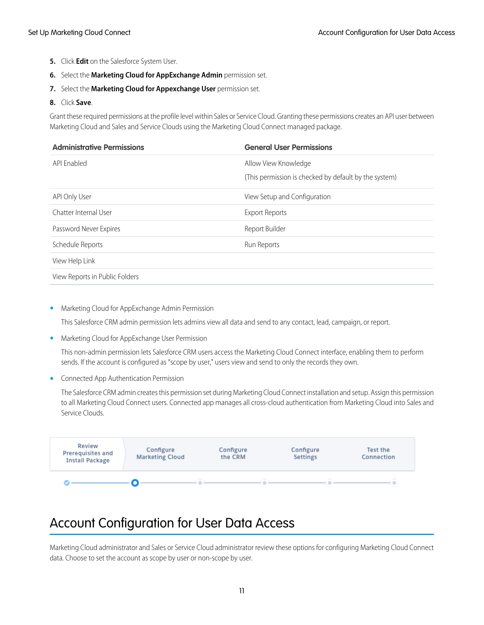- **5.** Click **Edit** on the Salesforce System User.
- **6.** Select the **Marketing Cloud for AppExchange Admin** permission set.
- **7.** Select the **Marketing Cloud for Appexchange User** permission set.

#### **8.** Click **Save**.

Grant these required permissions at the profile level within Sales or Service Cloud. Granting these permissions creates an API user between Marketing Cloud and Sales and Service Clouds using the Marketing Cloud Connect managed package.

| <b>Administrative Permissions</b> | <b>General User Permissions</b>                       |
|-----------------------------------|-------------------------------------------------------|
| API Enabled                       | Allow View Knowledge                                  |
|                                   | (This permission is checked by default by the system) |
| API Only User                     | View Setup and Configuration                          |
| Chatter Internal User             | <b>Export Reports</b>                                 |
| Password Never Expires            | Report Builder                                        |
| Schedule Reports                  | Run Reports                                           |
| View Help Link                    |                                                       |
| View Reports in Public Folders    |                                                       |

**•** Marketing Cloud for AppExchange Admin Permission

This Salesforce CRM admin permission lets admins view all data and send to any contact, lead, campaign, or report.

**•** Marketing Cloud for AppExchange User Permission

This non-admin permission lets Salesforce CRM users access the Marketing Cloud Connect interface, enabling them to perform sends. If the account is configured as "scope by user," users view and send to only the records they own.

**•** Connected App Authentication Permission

The Salesforce CRM admin creates this permission set during Marketing Cloud Connect installation and setup. Assign this permission to all Marketing Cloud Connect users. Connected app manages all cross-cloud authentication from Marketing Cloud into Sales and Service Clouds.

<span id="page-14-0"></span>

### Account Configuration for User Data Access

Marketing Cloud administrator and Sales or Service Cloud administrator review these options for configuring Marketing Cloud Connect data. Choose to set the account as scope by user or non-scope by user.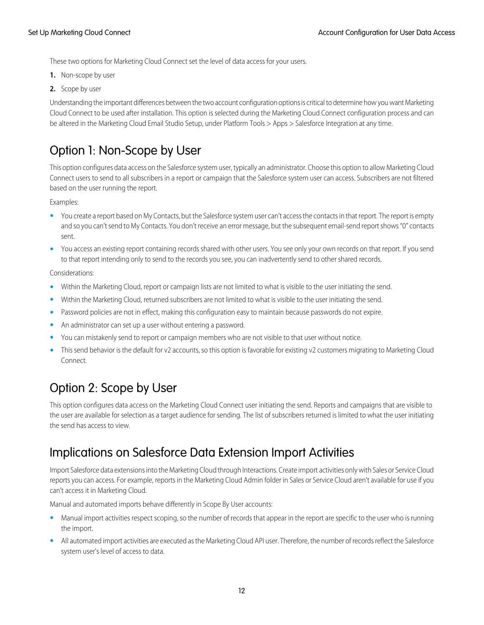These two options for Marketing Cloud Connect set the level of data access for your users.

- **1.** Non-scope by user
- **2.** Scope by user

Understanding the important differences between the two account configuration options is critical to determine how you want Marketing Cloud Connect to be used after installation. This option is selected during the Marketing Cloud Connect configuration process and can be altered in the Marketing Cloud Email Studio Setup, under Platform Tools > Apps > Salesforce Integration at any time.

### Option 1: Non-Scope by User

This option configures data access on the Salesforce system user, typically an administrator. Choose this option to allow Marketing Cloud Connect users to send to all subscribers in a report or campaign that the Salesforce system user can access. Subscribers are not filtered based on the user running the report.

Examples:

- **•** You create a report based on My Contacts, but the Salesforce system user can't access the contacts in that report. The report is empty and so you can't send to My Contacts. You don't receive an error message, but the subsequent email-send report shows "0" contacts sent.
- **•** You access an existing report containing records shared with other users. You see only your own records on that report. If you send to that report intending only to send to the records you see, you can inadvertently send to other shared records.

Considerations:

- **•** Within the Marketing Cloud, report or campaign lists are not limited to what is visible to the user initiating the send.
- **•** Within the Marketing Cloud, returned subscribers are not limited to what is visible to the user initiating the send.
- **•** Password policies are not in effect, making this configuration easy to maintain because passwords do not expire.
- **•** An administrator can set up a user without entering a password.
- **•** You can mistakenly send to report or campaign members who are not visible to that user without notice.
- **•** This send behavior is the default for v2 accounts, so this option is favorable for existing v2 customers migrating to Marketing Cloud Connect.

### Option 2: Scope by User

This option configures data access on the Marketing Cloud Connect user initiating the send. Reports and campaigns that are visible to the user are available for selection as a target audience for sending. The list of subscribers returned is limited to what the user initiating the send has access to view.

### Implications on Salesforce Data Extension Import Activities

Import Salesforce data extensions into the Marketing Cloud through Interactions. Create import activities only with Sales or Service Cloud reports you can access. For example, reports in the Marketing Cloud Admin folder in Sales or Service Cloud aren't available for use if you can't access it in Marketing Cloud.

Manual and automated imports behave differently in Scope By User accounts:

- **•** Manual import activities respect scoping, so the number of records that appear in the report are specific to the user who is running the import.
- **•** All automated import activities are executed as the Marketing Cloud API user. Therefore, the number of records reflect the Salesforce system user's level of access to data.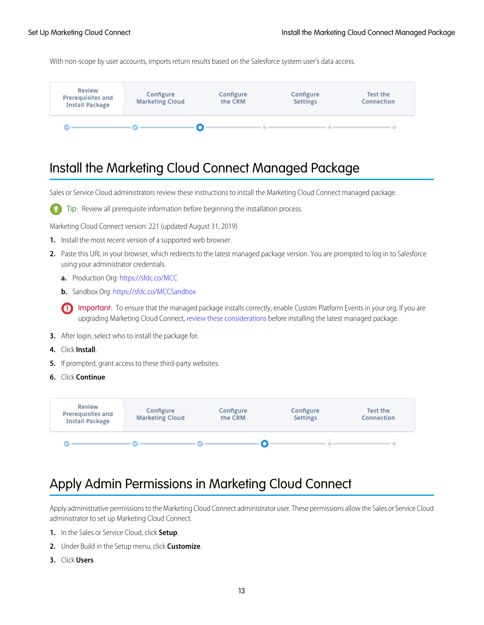With non-scope by user accounts, imports return results based on the Salesforce system user's data access.



### <span id="page-16-0"></span>Install the Marketing Cloud Connect Managed Package

Sales or Service Cloud administrators review these instructions to install the Marketing Cloud Connect managed package.



Tip: Review all prerequisite information before beginning the installation process.

Marketing Cloud Connect version: 221 (updated August 31, 2019)

- **1.** Install the most recent version of a supported web browser.
- **2.** Paste this URL in your browser, which redirects to the latest managed package version. You are prompted to log in to Salesforce using your administrator credentials.
	- **a.** Production Org:<https://sfdc.co/MCC>
	- **b.** Sandbox Org:<https://sfdc.co/MCCSandbox>
	- Important: To ensure that the managed package installs correctly, enable Custom Platform Events in your org. If you are upgrading Marketing Cloud Connect, [review these considerations](https://help.salesforce.com/apex/HTViewHelpDoc?id=mc_co_latest_releases.htm&language=en_US#mc_co_latest_releases) before installing the latest managed package.
- **3.** After login, select who to install the package for.
- **4.** Click **Install**.
- **5.** If prompted, grant access to these third-party websites.
- **6.** Click **Continue**.

<span id="page-16-1"></span>

### Apply Admin Permissions in Marketing Cloud Connect

Apply administrative permissions to the Marketing Cloud Connect administrator user. These permissions allow the Sales or Service Cloud administrator to set up Marketing Cloud Connect.

- **1.** In the Sales or Service Cloud, click **Setup**.
- **2.** Under Build in the Setup menu, click **Customize**.
- **3.** Click **Users**.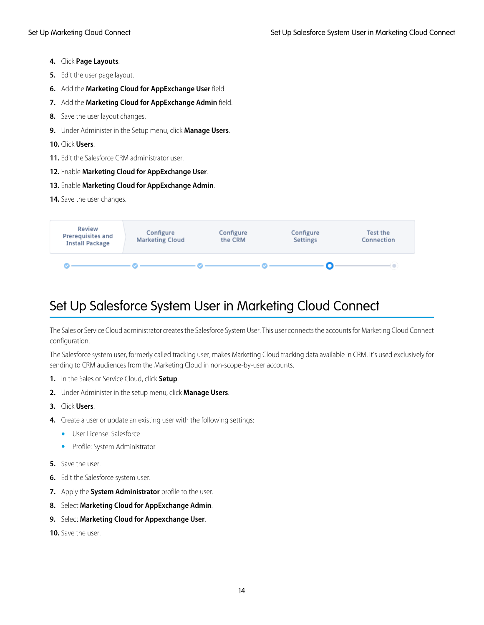- **4.** Click **Page Layouts**.
- **5.** Edit the user page layout.
- **6.** Add the **Marketing Cloud for AppExchange User** field.
- **7.** Add the **Marketing Cloud for AppExchange Admin** field.
- **8.** Save the user layout changes.
- **9.** Under Administer in the Setup menu, click **Manage Users**.

#### **10.** Click **Users**.

- **11.** Edit the Salesforce CRM administrator user.
- **12.** Enable **Marketing Cloud for AppExchange User**.
- **13.** Enable **Marketing Cloud for AppExchange Admin**.
- **14.** Save the user changes.



### <span id="page-17-0"></span>Set Up Salesforce System User in Marketing Cloud Connect

The Sales or Service Cloud administrator creates the Salesforce System User. This user connects the accounts for Marketing Cloud Connect configuration.

The Salesforce system user, formerly called tracking user, makes Marketing Cloud tracking data available in CRM. It's used exclusively for sending to CRM audiences from the Marketing Cloud in non-scope-by-user accounts.

- **1.** In the Sales or Service Cloud, click **Setup**.
- **2.** Under Administer in the setup menu, click **Manage Users**.
- **3.** Click **Users**.
- **4.** Create a user or update an existing user with the following settings:
	- **•** User License: Salesforce
	- **•** Profile: System Administrator
- **5.** Save the user.
- **6.** Edit the Salesforce system user.
- **7.** Apply the **System Administrator** profile to the user.
- **8.** Select **Marketing Cloud for AppExchange Admin**.
- **9.** Select **Marketing Cloud for Appexchange User**.
- **10.** Save the user.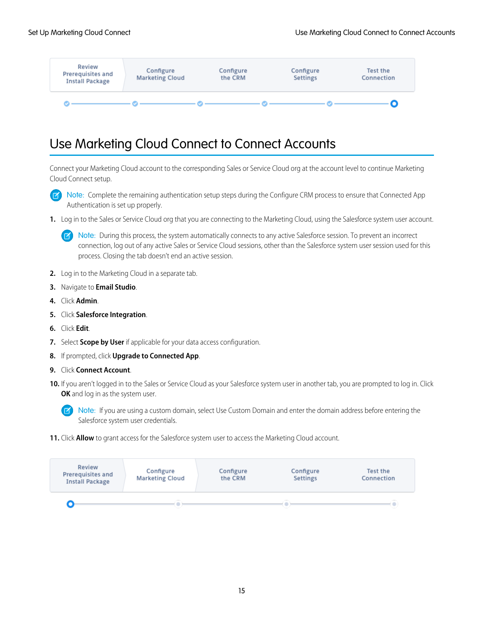

### <span id="page-18-0"></span>Use Marketing Cloud Connect to Connect Accounts

Connect your Marketing Cloud account to the corresponding Sales or Service Cloud org at the account level to continue Marketing Cloud Connect setup.

 $\mathbf{z}$ Note: Complete the remaining authentication setup steps during the Configure CRM process to ensure that Connected App Authentication is set up properly.

**1.** Log in to the Sales or Service Cloud org that you are connecting to the Marketing Cloud, using the Salesforce system user account.

Note: During this process, the system automatically connects to any active Salesforce session. To prevent an incorrect connection, log out of any active Sales or Service Cloud sessions, other than the Salesforce system user session used for this process. Closing the tab doesn't end an active session.

- **2.** Log in to the Marketing Cloud in a separate tab.
- **3.** Navigate to **Email Studio**.
- **4.** Click **Admin**.
- **5.** Click **Salesforce Integration**.
- **6.** Click **Edit**.
- **7.** Select **Scope by User** if applicable for your data access configuration.
- **8.** If prompted, click **Upgrade to Connected App**.
- **9.** Click **Connect Account**.
- **10.** If you aren't logged in to the Sales or Service Cloud as your Salesforce system user in another tab, you are prompted to log in. Click **OK** and log in as the system user.

Note: If you are using a custom domain, select Use Custom Domain and enter the domain address before entering the Salesforce system user credentials.

**11.** Click **Allow** to grant access for the Salesforce system user to access the Marketing Cloud account.

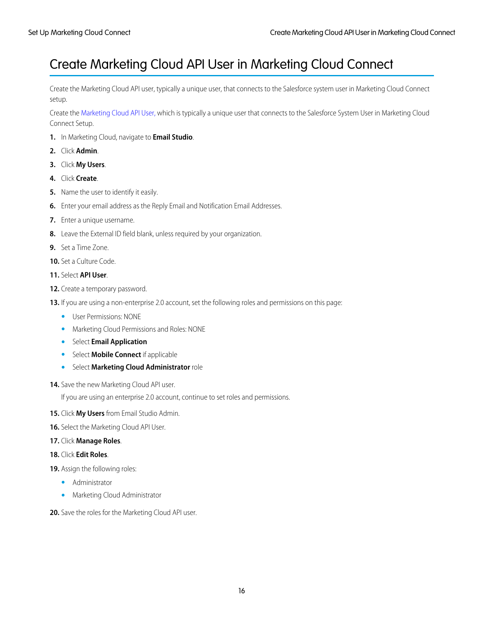### <span id="page-19-0"></span>Create Marketing Cloud API User in Marketing Cloud Connect

Create the Marketing Cloud API user, typically a unique user, that connects to the Salesforce system user in Marketing Cloud Connect setup.

Create the [Marketing Cloud API User,](#page-13-0) which is typically a unique user that connects to the Salesforce System User in Marketing Cloud Connect Setup.

- **1.** In Marketing Cloud, navigate to **Email Studio**.
- **2.** Click **Admin**.
- **3.** Click **My Users**.
- **4.** Click **Create**.
- **5.** Name the user to identify it easily.
- **6.** Enter your email address as the Reply Email and Notification Email Addresses.
- **7.** Enter a unique username.
- **8.** Leave the External ID field blank, unless required by your organization.
- **9.** Set a Time Zone.
- **10.** Set a Culture Code.
- **11.** Select **API User**.
- **12.** Create a temporary password.
- **13.** If you are using a non-enterprise 2.0 account, set the following roles and permissions on this page:
	- **•** User Permissions: NONE
	- **•** Marketing Cloud Permissions and Roles: NONE
	- **•** Select **Email Application**
	- **•** Select **Mobile Connect** if applicable
	- **•** Select **Marketing Cloud Administrator** role
- 14. Save the new Marketing Cloud API user.

If you are using an enterprise 2.0 account, continue to set roles and permissions.

- **15.** Click **My Users** from Email Studio Admin.
- **16.** Select the Marketing Cloud API User.
- **17.** Click **Manage Roles**.
- **18.** Click **Edit Roles**.
- **19.** Assign the following roles:
	- **•** Administrator
	- **•** Marketing Cloud Administrator
- **20.** Save the roles for the Marketing Cloud API user.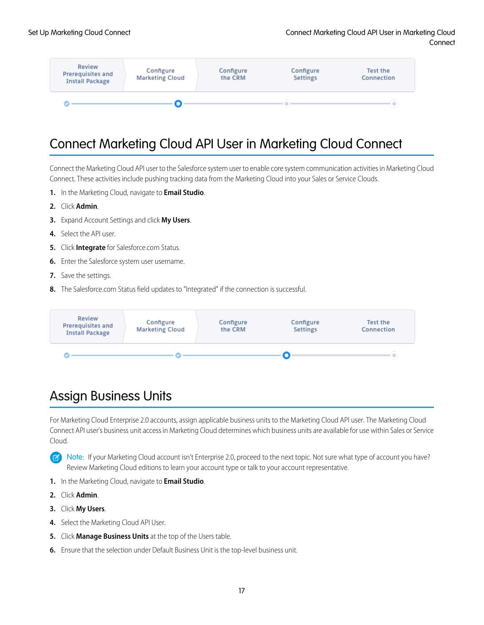

### <span id="page-20-0"></span>Connect Marketing Cloud API User in Marketing Cloud Connect

Connect the Marketing Cloud API user to the Salesforce system user to enable core system communication activities in Marketing Cloud Connect. These activities include pushing tracking data from the Marketing Cloud into your Sales or Service Clouds.

- **1.** In the Marketing Cloud, navigate to **Email Studio**.
- **2.** Click **Admin**.
- **3.** Expand Account Settings and click **My Users**.
- **4.** Select the API user.
- **5.** Click **Integrate** for Salesforce.com Status.
- **6.** Enter the Salesforce system user username.
- **7.** Save the settings.
- **8.** The Salesforce.com Status field updates to "Integrated" if the connection is successful.



### <span id="page-20-1"></span>Assign Business Units

For Marketing Cloud Enterprise 2.0 accounts, assign applicable business units to the Marketing Cloud API user. The Marketing Cloud Connect API user's business unit access in Marketing Cloud determines which business units are available for use within Sales or Service Cloud.

Note: If your Marketing Cloud account isn't Enterprise 2.0, proceed to the next topic. Not sure what type of account you have?  $\boldsymbol{\beta}$ Review Marketing Cloud editions to learn your account type or talk to your account representative.

- **1.** In the Marketing Cloud, navigate to **Email Studio**.
- **2.** Click **Admin**.
- **3.** Click **My Users**.
- **4.** Select the Marketing Cloud API User.
- **5.** Click **Manage Business Units** at the top of the Users table.
- **6.** Ensure that the selection under Default Business Unit is the top-level business unit.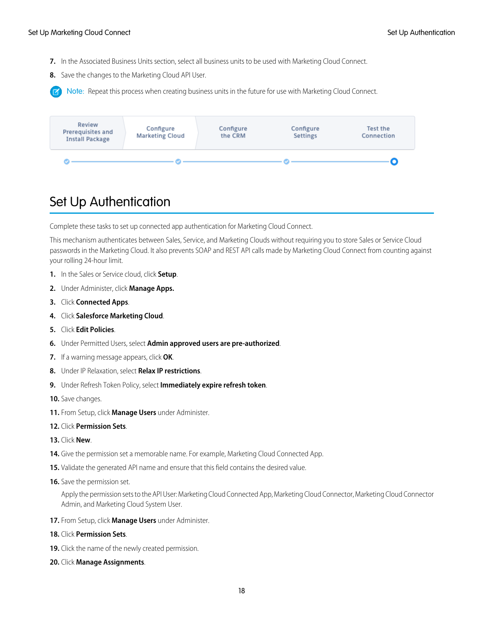- **7.** In the Associated Business Units section, select all business units to be used with Marketing Cloud Connect.
- **8.** Save the changes to the Marketing Cloud API User.

Note: Repeat this process when creating business units in the future for use with Marketing Cloud Connect.



### <span id="page-21-0"></span>Set Up Authentication

Complete these tasks to set up connected app authentication for Marketing Cloud Connect.

This mechanism authenticates between Sales, Service, and Marketing Clouds without requiring you to store Sales or Service Cloud passwords in the Marketing Cloud. It also prevents SOAP and REST API calls made by Marketing Cloud Connect from counting against your rolling 24-hour limit.

- **1.** In the Sales or Service cloud, click **Setup**.
- **2.** Under Administer, click **Manage Apps.**
- **3.** Click **Connected Apps**.
- **4.** Click **Salesforce Marketing Cloud**.
- **5.** Click **Edit Policies**.
- **6.** Under Permitted Users, select **Admin approved users are pre-authorized**.
- **7.** If a warning message appears, click **OK**.
- **8.** Under IP Relaxation, select **Relax IP restrictions**.
- **9.** Under Refresh Token Policy, select **Immediately expire refresh token**.
- **10.** Save changes.
- **11.** From Setup, click **Manage Users** under Administer.
- **12.** Click **Permission Sets**.
- **13.** Click **New**.
- **14.** Give the permission set a memorable name. For example, Marketing Cloud Connected App.
- **15.** Validate the generated API name and ensure that this field contains the desired value.
- **16.** Save the permission set.

Apply the permission sets to the API User: Marketing Cloud Connected App, Marketing Cloud Connector, Marketing Cloud Connector Admin, and Marketing Cloud System User.

- **17.** From Setup, click **Manage Users** under Administer.
- **18.** Click **Permission Sets**.
- **19.** Click the name of the newly created permission.
- **20.** Click **Manage Assignments**.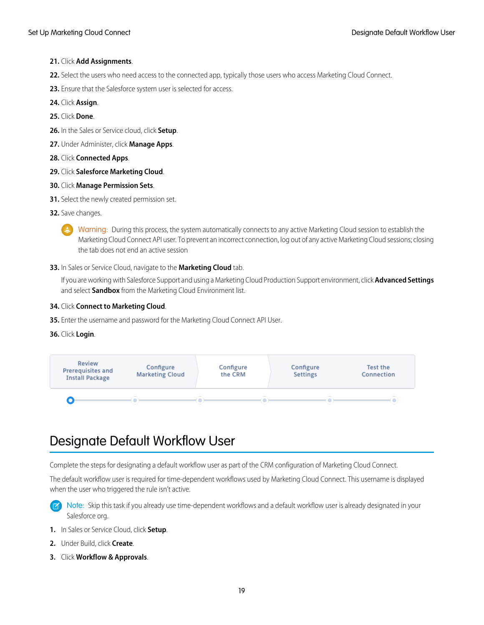#### **21.** Click **Add Assignments**.

- **22.** Select the users who need access to the connected app, typically those users who access Marketing Cloud Connect.
- **23.** Ensure that the Salesforce system user is selected for access.
- **24.** Click **Assign**.
- **25.** Click **Done**.
- **26.** In the Sales or Service cloud, click **Setup**.
- **27.** Under Administer, click **Manage Apps**.
- **28.** Click **Connected Apps**.
- **29.** Click **Salesforce Marketing Cloud**.
- **30.** Click **Manage Permission Sets**.
- **31.** Select the newly created permission set.
- **32.** Save changes.
	- Warning: During this process, the system automatically connects to any active Marketing Cloud session to establish the Marketing Cloud Connect API user. To prevent an incorrect connection, log out of any active Marketing Cloud sessions; closing the tab does not end an active session
- **33.** In Sales or Service Cloud, navigate to the **Marketing Cloud** tab.

If you are working with Salesforce Support and using a Marketing Cloud Production Support environment, click **Advanced Settings** and select **Sandbox** from the Marketing Cloud Environment list.

#### **34.** Click **Connect to Marketing Cloud**.

- **35.** Enter the username and password for the Marketing Cloud Connect API User.
- **36.** Click **Login**.

<span id="page-22-0"></span>

### Designate Default Workflow User

Complete the steps for designating a default workflow user as part of the CRM configuration of Marketing Cloud Connect.

The default workflow user is required for time-dependent workflows used by Marketing Cloud Connect. This username is displayed when the user who triggered the rule isn't active.

Note: Skip this task if you already use time-dependent workflows and a default workflow user is already designated in your Salesforce org.

- **1.** In Sales or Service Cloud, click **Setup**.
- **2.** Under Build, click **Create**.
- **3.** Click **Workflow & Approvals**.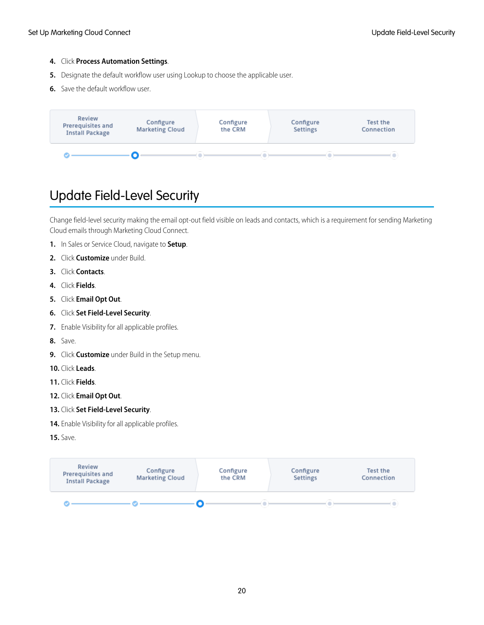#### **4.** Click **Process Automation Settings**.

- **5.** Designate the default workflow user using Lookup to choose the applicable user.
- **6.** Save the default workflow user.



### <span id="page-23-0"></span>Update Field-Level Security

Change field-level security making the email opt-out field visible on leads and contacts, which is a requirement for sending Marketing Cloud emails through Marketing Cloud Connect.

- **1.** In Sales or Service Cloud, navigate to **Setup**.
- **2.** Click **Customize** under Build.
- **3.** Click **Contacts**.
- **4.** Click **Fields**.
- **5.** Click **Email Opt Out**.
- **6.** Click **Set Field-Level Security**.
- **7.** Enable Visibility for all applicable profiles.
- **8.** Save.
- **9.** Click **Customize** under Build in the Setup menu.
- **10.** Click **Leads**.
- **11.** Click **Fields**.
- **12.** Click **Email Opt Out**.
- **13.** Click **Set Field-Level Security**.
- **14.** Enable Visibility for all applicable profiles.
- **15.** Save.

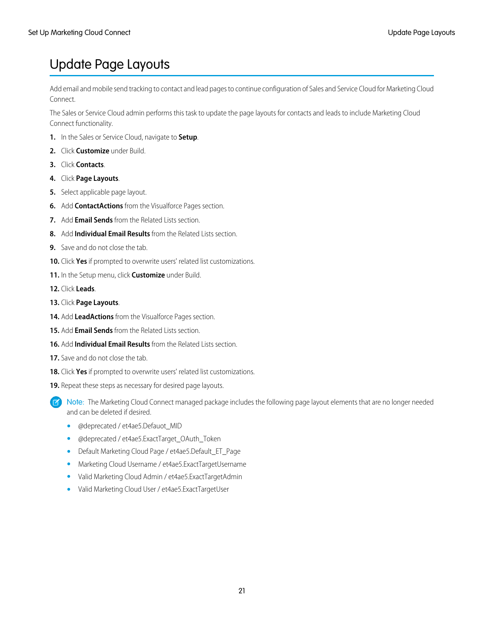### <span id="page-24-0"></span>Update Page Layouts

Add email and mobile send tracking to contact and lead pages to continue configuration of Sales and Service Cloud for Marketing Cloud Connect.

The Sales or Service Cloud admin performs this task to update the page layouts for contacts and leads to include Marketing Cloud Connect functionality.

- **1.** In the Sales or Service Cloud, navigate to **Setup**.
- **2.** Click **Customize** under Build.
- **3.** Click **Contacts**.
- **4.** Click **Page Layouts**.
- **5.** Select applicable page layout.
- **6.** Add **ContactActions** from the Visualforce Pages section.
- **7.** Add **Email Sends** from the Related Lists section.
- **8.** Add **Individual Email Results** from the Related Lists section.
- **9.** Save and do not close the tab.
- **10.** Click **Yes** if prompted to overwrite users' related list customizations.
- **11.** In the Setup menu, click **Customize** under Build.

**12.** Click **Leads**.

- **13.** Click **Page Layouts**.
- **14.** Add **LeadActions** from the Visualforce Pages section.
- **15.** Add **Email Sends** from the Related Lists section.
- **16.** Add **Individual Email Results** from the Related Lists section.
- **17.** Save and do not close the tab.
- **18.** Click **Yes** if prompted to overwrite users' related list customizations.
- **19.** Repeat these steps as necessary for desired page layouts.
	- Note: The Marketing Cloud Connect managed package includes the following page layout elements that are no longer needed and can be deleted if desired.
		- @deprecated / et4ae5.Defauot\_MID
		- **•** @deprecated / et4ae5.ExactTarget\_OAuth\_Token
		- **•** Default Marketing Cloud Page / et4ae5.Default\_ET\_Page
		- **•** Marketing Cloud Username / et4ae5.ExactTargetUsername
		- **•** Valid Marketing Cloud Admin / et4ae5.ExactTargetAdmin
		- **•** Valid Marketing Cloud User / et4ae5.ExactTargetUser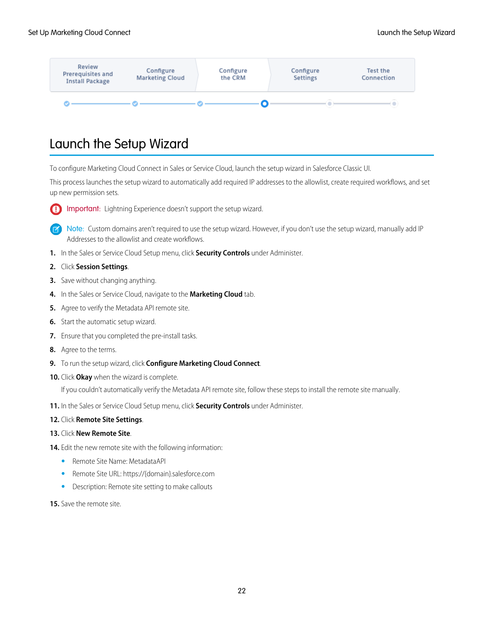

### <span id="page-25-0"></span>Launch the Setup Wizard

To configure Marketing Cloud Connect in Sales or Service Cloud, launch the setup wizard in Salesforce Classic UI.

This process launches the setup wizard to automatically add required IP addresses to the allowlist, create required workflows, and set up new permission sets.

Important: Lightning Experience doesn't support the setup wizard.  $\bf{a}$ 

Note: Custom domains aren't required to use the setup wizard. However, if you don't use the setup wizard, manually add IP  $\mathbb{Z}$ Addresses to the allowlist and create workflows.

- **1.** In the Sales or Service Cloud Setup menu, click **Security Controls** under Administer.
- **2.** Click **Session Settings**.
- **3.** Save without changing anything.
- **4.** In the Sales or Service Cloud, navigate to the **Marketing Cloud** tab.
- **5.** Agree to verify the Metadata API remote site.
- **6.** Start the automatic setup wizard.
- **7.** Ensure that you completed the pre-install tasks.
- **8.** Agree to the terms.
- **9.** To run the setup wizard, click **Configure Marketing Cloud Connect**.
- **10.** Click **Okay** when the wizard is complete.

If you couldn't automatically verify the Metadata API remote site, follow these steps to install the remote site manually.

- **11.** In the Sales or Service Cloud Setup menu, click **Security Controls** under Administer.
- **12.** Click **Remote Site Settings**.
- **13.** Click **New Remote Site**.
- **14.** Edit the new remote site with the following information:
	- **•** Remote Site Name: MetadataAPI
	- **•** Remote Site URL: https://{domain}.salesforce.com
	- **•** Description: Remote site setting to make callouts
- **15.** Save the remote site.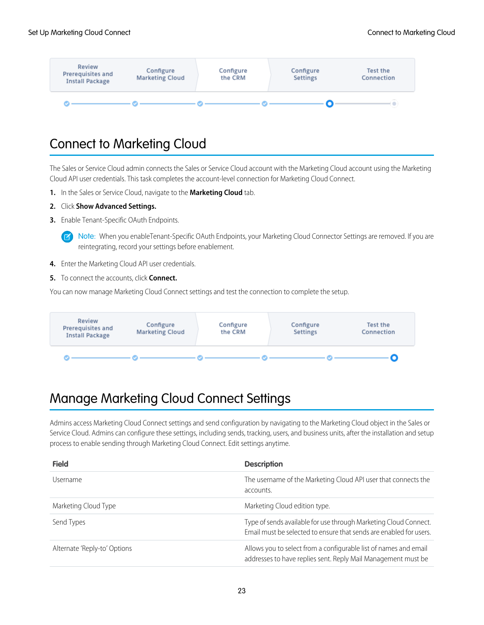

### <span id="page-26-0"></span>Connect to Marketing Cloud

The Sales or Service Cloud admin connects the Sales or Service Cloud account with the Marketing Cloud account using the Marketing Cloud API user credentials. This task completes the account-level connection for Marketing Cloud Connect.

- **1.** In the Sales or Service Cloud, navigate to the **Marketing Cloud** tab.
- **2.** Click **Show Advanced Settings.**

 $\sqrt{2}$ 

**3.** Enable Tenant-Specific OAuth Endpoints.

Note: When you enableTenant-Specific OAuth Endpoints, your Marketing Cloud Connector Settings are removed. If you are reintegrating, record your settings before enablement.

- **4.** Enter the Marketing Cloud API user credentials.
- **5.** To connect the accounts, click **Connect.**

You can now manage Marketing Cloud Connect settings and test the connection to complete the setup.



### <span id="page-26-1"></span>Manage Marketing Cloud Connect Settings

Admins access Marketing Cloud Connect settings and send configuration by navigating to the Marketing Cloud object in the Sales or Service Cloud. Admins can configure these settings, including sends, tracking, users, and business units, after the installation and setup process to enable sending through Marketing Cloud Connect. Edit settings anytime.

| <b>Field</b>                 | <b>Description</b>                                                                                                                     |
|------------------------------|----------------------------------------------------------------------------------------------------------------------------------------|
| Username                     | The username of the Marketing Cloud API user that connects the<br>accounts.                                                            |
| Marketing Cloud Type         | Marketing Cloud edition type.                                                                                                          |
| Send Types                   | Type of sends available for use through Marketing Cloud Connect.<br>Email must be selected to ensure that sends are enabled for users. |
| Alternate 'Reply-to' Options | Allows you to select from a configurable list of names and email<br>addresses to have replies sent. Reply Mail Management must be      |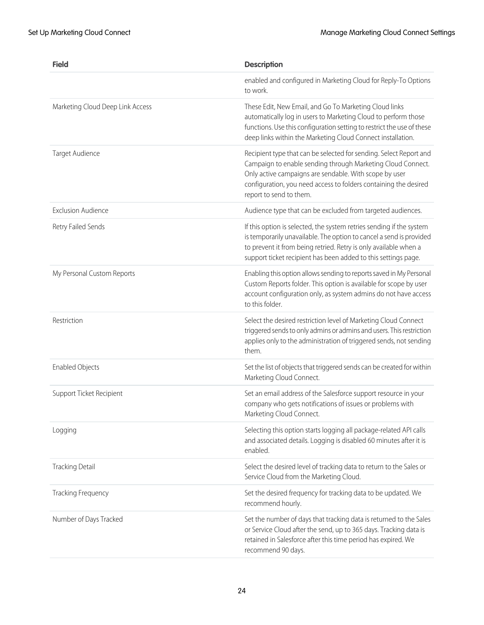| <b>Field</b>                     | <b>Description</b>                                                                                                                                                                                                                                                                         |
|----------------------------------|--------------------------------------------------------------------------------------------------------------------------------------------------------------------------------------------------------------------------------------------------------------------------------------------|
|                                  | enabled and configured in Marketing Cloud for Reply-To Options<br>to work.                                                                                                                                                                                                                 |
| Marketing Cloud Deep Link Access | These Edit, New Email, and Go To Marketing Cloud links<br>automatically log in users to Marketing Cloud to perform those<br>functions. Use this configuration setting to restrict the use of these<br>deep links within the Marketing Cloud Connect installation.                          |
| Target Audience                  | Recipient type that can be selected for sending. Select Report and<br>Campaign to enable sending through Marketing Cloud Connect.<br>Only active campaigns are sendable. With scope by user<br>configuration, you need access to folders containing the desired<br>report to send to them. |
| <b>Exclusion Audience</b>        | Audience type that can be excluded from targeted audiences.                                                                                                                                                                                                                                |
| Retry Failed Sends               | If this option is selected, the system retries sending if the system<br>is temporarily unavailable. The option to cancel a send is provided<br>to prevent it from being retried. Retry is only available when a<br>support ticket recipient has been added to this settings page.          |
| My Personal Custom Reports       | Enabling this option allows sending to reports saved in My Personal<br>Custom Reports folder. This option is available for scope by user<br>account configuration only, as system admins do not have access<br>to this folder.                                                             |
| Restriction                      | Select the desired restriction level of Marketing Cloud Connect<br>triggered sends to only admins or admins and users. This restriction<br>applies only to the administration of triggered sends, not sending<br>them.                                                                     |
| <b>Enabled Objects</b>           | Set the list of objects that triggered sends can be created for within<br>Marketing Cloud Connect.                                                                                                                                                                                         |
| Support Ticket Recipient         | Set an email address of the Salesforce support resource in your<br>company who gets notifications of issues or problems with<br>Marketing Cloud Connect.                                                                                                                                   |
| Logging                          | Selecting this option starts logging all package-related API calls<br>and associated details. Logging is disabled 60 minutes after it is<br>enabled.                                                                                                                                       |
| <b>Tracking Detail</b>           | Select the desired level of tracking data to return to the Sales or<br>Service Cloud from the Marketing Cloud.                                                                                                                                                                             |
| Tracking Frequency               | Set the desired frequency for tracking data to be updated. We<br>recommend hourly.                                                                                                                                                                                                         |
| Number of Days Tracked           | Set the number of days that tracking data is returned to the Sales<br>or Service Cloud after the send, up to 365 days. Tracking data is<br>retained in Salesforce after this time period has expired. We<br>recommend 90 days.                                                             |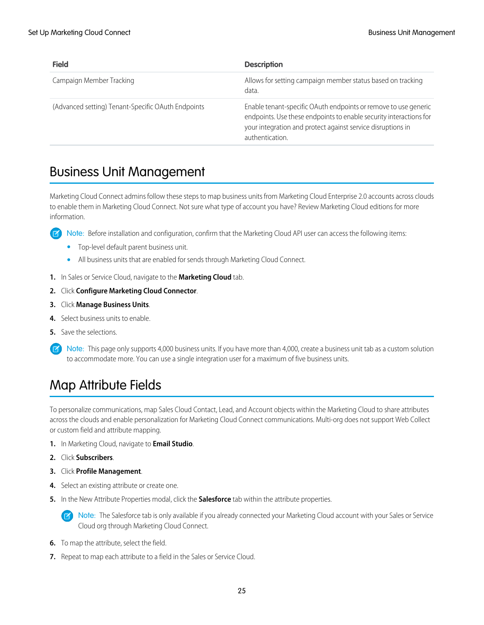| <b>Field</b>                                       | <b>Description</b>                                                                                                                                                                                                     |
|----------------------------------------------------|------------------------------------------------------------------------------------------------------------------------------------------------------------------------------------------------------------------------|
| Campaign Member Tracking                           | Allows for setting campaign member status based on tracking<br>data.                                                                                                                                                   |
| (Advanced setting) Tenant-Specific OAuth Endpoints | Enable tenant-specific OAuth endpoints or remove to use generic<br>endpoints. Use these endpoints to enable security interactions for<br>your integration and protect against service disruptions in<br>authentication |

### <span id="page-28-0"></span>Business Unit Management

Marketing Cloud Connect admins follow these steps to map business units from Marketing Cloud Enterprise 2.0 accounts across clouds to enable them in Marketing Cloud Connect. Not sure what type of account you have? Review Marketing Cloud editions for more information.

 $\mathbf{z}$ Note: Before installation and configuration, confirm that the Marketing Cloud API user can access the following items:

- **•** Top-level default parent business unit.
- **•** All business units that are enabled for sends through Marketing Cloud Connect.
- **1.** In Sales or Service Cloud, navigate to the **Marketing Cloud** tab.
- **2.** Click **Configure Marketing Cloud Connector**.
- **3.** Click **Manage Business Units**.
- **4.** Select business units to enable.
- **5.** Save the selections.
- <span id="page-28-1"></span>Note: This page only supports 4,000 business units. If you have more than 4,000, create a business unit tab as a custom solution  $\boldsymbol{\beta}$ to accommodate more. You can use a single integration user for a maximum of five business units.

### Map Attribute Fields

To personalize communications, map Sales Cloud Contact, Lead, and Account objects within the Marketing Cloud to share attributes across the clouds and enable personalization for Marketing Cloud Connect communications. Multi-org does not support Web Collect or custom field and attribute mapping.

- **1.** In Marketing Cloud, navigate to **Email Studio**.
- **2.** Click **Subscribers**.
- **3.** Click **Profile Management**.
- **4.** Select an existing attribute or create one.
- **5.** In the New Attribute Properties modal, click the **Salesforce** tab within the attribute properties.

Note: The Salesforce tab is only available if you already connected your Marketing Cloud account with your Sales or Service  $\mathbb{Z}$ Cloud org through Marketing Cloud Connect.

- **6.** To map the attribute, select the field.
- **7.** Repeat to map each attribute to a field in the Sales or Service Cloud.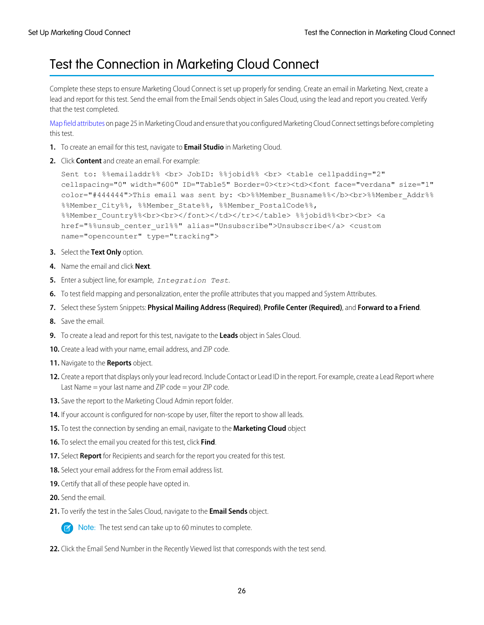### <span id="page-29-0"></span>Test the Connection in Marketing Cloud Connect

Complete these steps to ensure Marketing Cloud Connect is set up properly for sending. Create an email in Marketing. Next, create a lead and report for this test. Send the email from the Email Sends object in Sales Cloud, using the lead and report you created. Verify that the test completed.

[Map field attributes](#page-28-1) on page 25 in Marketing Cloud and ensure that you configured Marketing Cloud Connect settings before completing this test.

- **1.** To create an email for this test, navigate to **Email Studio** in Marketing Cloud.
- **2.** Click **Content** and create an email. For example:

```
Sent to: %%emailaddr%% <br> JobID: %%jobid%% <br> <table cellpadding="2"
cellspacing="0" width="600" ID="Table5" Border=0><tr><td><font face="verdana" size="1"
color="#444444">This email was sent by: <b>%%Member_Busname%%</b><br>%%Member_Addr%%
%%Member_City%%, %%Member_State%%, %%Member_PostalCode%%,
%%Member_Country%%<br><br></font></td></tr></table> %%jobid%%<br><br> <a
href="%%unsub_center_url%%" alias="Unsubscribe">Unsubscribe</a> <custom
name="opencounter" type="tracking">
```
- **3.** Select the **Text Only** option.
- **4.** Name the email and click **Next**.
- **5.** Enter a subject line, for example, *Integration Test*.
- **6.** To test field mapping and personalization, enter the profile attributes that you mapped and System Attributes.
- **7.** Select these System Snippets: **Physical Mailing Address (Required)**, **Profile Center (Required)**, and **Forward to a Friend**.
- **8.** Save the email.
- **9.** To create a lead and report for this test, navigate to the **Leads** object in Sales Cloud.
- **10.** Create a lead with your name, email address, and ZIP code.
- **11.** Navigate to the **Reports** object.
- **12.** Create a report that displays only your lead record. Include Contact or Lead ID in the report. For example, create a Lead Report where Last Name = your last name and ZIP code = your ZIP code.
- **13.** Save the report to the Marketing Cloud Admin report folder.
- **14.** If your account is configured for non-scope by user, filter the report to show all leads.
- **15.** To test the connection by sending an email, navigate to the **Marketing Cloud** object
- **16.** To select the email you created for this test, click **Find**.
- **17.** Select **Report** for Recipients and search for the report you created for this test.
- **18.** Select your email address for the From email address list.
- **19.** Certify that all of these people have opted in.
- **20.** Send the email.
- **21.** To verify the test in the Sales Cloud, navigate to the **Email Sends** object.



**EX** Note: The test send can take up to 60 minutes to complete.

**22.** Click the Email Send Number in the Recently Viewed list that corresponds with the test send.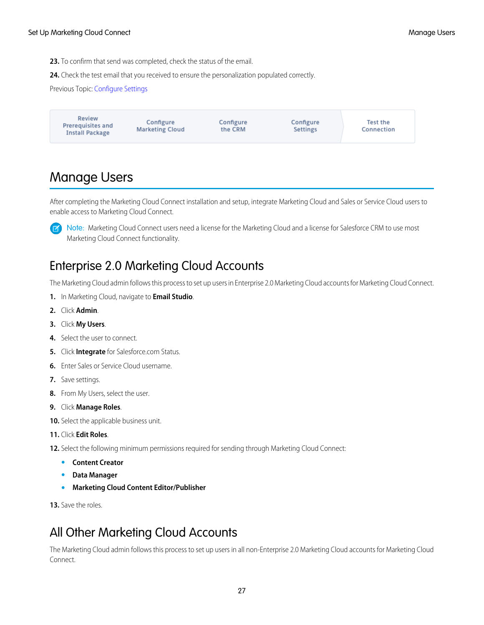**23.** To confirm that send was completed, check the status of the email.

**24.** Check the test email that you received to ensure the personalization populated correctly.

Previous Topic: [Configure Settings](https://help.salesforce.com/apex/HTViewHelpDoc?id=mc_co_configure_settings.htm&language=en_US#mc_co_configure_settings)



### <span id="page-30-0"></span>Manage Users

After completing the Marketing Cloud Connect installation and setup, integrate Marketing Cloud and Sales or Service Cloud users to enable access to Marketing Cloud Connect.

 $\left( \mathbf{z}\right)$ 

Note: Marketing Cloud Connect users need a license for the Marketing Cloud and a license for Salesforce CRM to use most Marketing Cloud Connect functionality.

### Enterprise 2.0 Marketing Cloud Accounts

The Marketing Cloud admin follows this process to set up users in Enterprise 2.0 Marketing Cloud accounts for Marketing Cloud Connect.

- **1.** In Marketing Cloud, navigate to **Email Studio**.
- **2.** Click **Admin**.
- **3.** Click **My Users**.
- **4.** Select the user to connect.
- **5.** Click **Integrate** for Salesforce.com Status.
- **6.** Enter Sales or Service Cloud username.
- **7.** Save settings.
- **8.** From My Users, select the user.
- **9.** Click **Manage Roles**.

**10.** Select the applicable business unit.

**11.** Click **Edit Roles**.

**12.** Select the following minimum permissions required for sending through Marketing Cloud Connect:

- **• Content Creator**
- **• Data Manager**
- **• Marketing Cloud Content Editor/Publisher**

**13.** Save the roles.

### All Other Marketing Cloud Accounts

The Marketing Cloud admin follows this process to set up users in all non-Enterprise 2.0 Marketing Cloud accounts for Marketing Cloud Connect.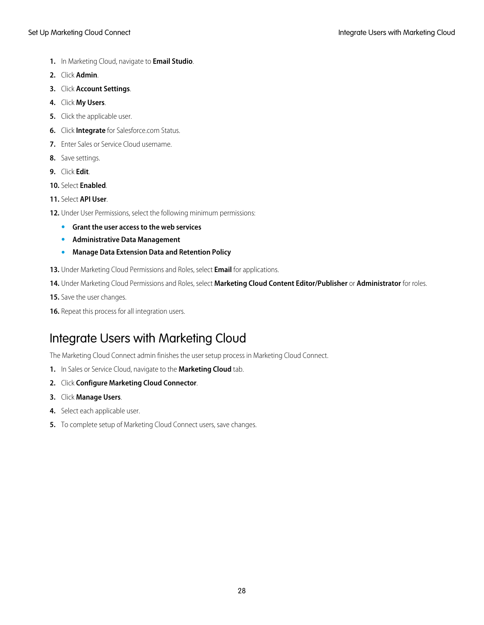- **1.** In Marketing Cloud, navigate to **Email Studio**.
- **2.** Click **Admin**.
- **3.** Click **Account Settings**.
- **4.** Click **My Users**.
- **5.** Click the applicable user.
- **6.** Click **Integrate** for Salesforce.com Status.
- **7.** Enter Sales or Service Cloud username.
- **8.** Save settings.
- **9.** Click **Edit**.
- **10.** Select **Enabled**.
- **11.** Select **API User**.
- **12.** Under User Permissions, select the following minimum permissions:
	- **• Grant the user access to the web services**
	- **• Administrative Data Management**
	- **• Manage Data Extension Data and Retention Policy**
- **13.** Under Marketing Cloud Permissions and Roles, select **Email** for applications.
- **14.** Under Marketing Cloud Permissions and Roles, select **Marketing Cloud Content Editor/Publisher** or **Administrator** for roles.
- **15.** Save the user changes.
- **16.** Repeat this process for all integration users.

### Integrate Users with Marketing Cloud

The Marketing Cloud Connect admin finishes the user setup process in Marketing Cloud Connect.

- **1.** In Sales or Service Cloud, navigate to the **Marketing Cloud** tab.
- **2.** Click **Configure Marketing Cloud Connector**.
- **3.** Click **Manage Users**.
- **4.** Select each applicable user.
- **5.** To complete setup of Marketing Cloud Connect users, save changes.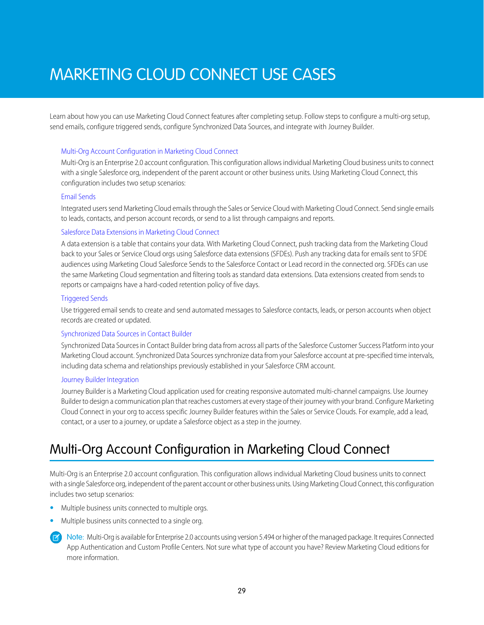## <span id="page-32-0"></span>MARKETING CLOUD CONNECT USE CASES

Learn about how you can use Marketing Cloud Connect features after completing setup. Follow steps to configure a multi-org setup, send emails, configure triggered sends, configure Synchronized Data Sources, and integrate with Journey Builder.

#### [Multi-Org Account Configuration in Marketing Cloud Connect](#page-32-1)

Multi-Org is an Enterprise 2.0 account configuration. This configuration allows individual Marketing Cloud business units to connect with a single Salesforce org, independent of the parent account or other business units. Using Marketing Cloud Connect, this configuration includes two setup scenarios:

#### [Email Sends](#page-38-0)

Integrated users send Marketing Cloud emails through the Sales or Service Cloud with Marketing Cloud Connect. Send single emails to leads, contacts, and person account records, or send to a list through campaigns and reports.

#### [Salesforce Data Extensions in Marketing Cloud Connect](#page-42-0)

A data extension is a table that contains your data. With Marketing Cloud Connect, push tracking data from the Marketing Cloud back to your Sales or Service Cloud orgs using Salesforce data extensions (SFDEs). Push any tracking data for emails sent to SFDE audiences using Marketing Cloud Salesforce Sends to the Salesforce Contact or Lead record in the connected org. SFDEs can use the same Marketing Cloud segmentation and filtering tools as standard data extensions. Data extensions created from sends to reports or campaigns have a hard-coded retention policy of five days.

#### [Triggered Sends](#page-43-0)

Use triggered email sends to create and send automated messages to Salesforce contacts, leads, or person accounts when object records are created or updated.

#### [Synchronized Data Sources in Contact Builder](#page-47-0)

Synchronized Data Sources in Contact Builder bring data from across all parts of the Salesforce Customer Success Platform into your Marketing Cloud account. Synchronized Data Sources synchronize data from your Salesforce account at pre-specified time intervals, including data schema and relationships previously established in your Salesforce CRM account.

#### [Journey Builder Integration](#page-49-0)

<span id="page-32-1"></span>Journey Builder is a Marketing Cloud application used for creating responsive automated multi-channel campaigns. Use Journey Builder to design a communication plan that reaches customers at every stage of their journey with your brand. Configure Marketing Cloud Connect in your org to access specific Journey Builder features within the Sales or Service Clouds. For example, add a lead, contact, or a user to a journey, or update a Salesforce object as a step in the journey.

### Multi-Org Account Configuration in Marketing Cloud Connect

Multi-Org is an Enterprise 2.0 account configuration. This configuration allows individual Marketing Cloud business units to connect with a single Salesforce org, independent of the parent account or other business units. Using Marketing Cloud Connect, this configuration includes two setup scenarios:

- **•** Multiple business units connected to multiple orgs.
- **•** Multiple business units connected to a single org.
	- Note: Multi-Org is available for Enterprise 2.0 accounts using version 5.494 or higher of the managed package. It requires Connected App Authentication and Custom Profile Centers. Not sure what type of account you have? Review Marketing Cloud editions for more information.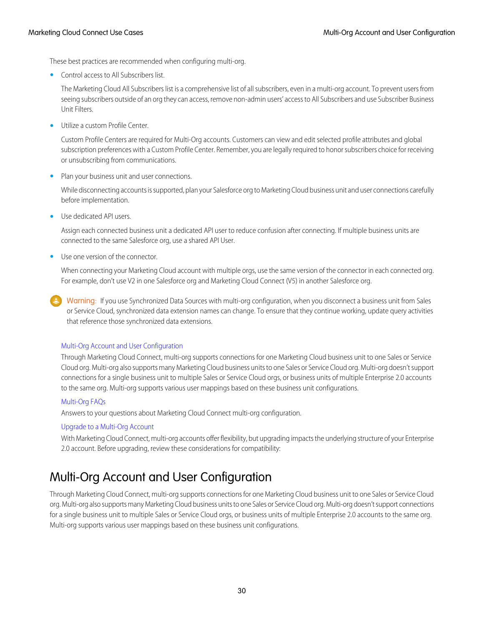These best practices are recommended when configuring multi-org.

**•** Control access to All Subscribers list.

The Marketing Cloud All Subscribers list is a comprehensive list of all subscribers, even in a multi-org account. To prevent users from seeing subscribers outside of an org they can access, remove non-admin users' access to All Subscribers and use Subscriber Business Unit Filters.

**•** Utilize a custom Profile Center.

Custom Profile Centers are required for Multi-Org accounts. Customers can view and edit selected profile attributes and global subscription preferences with a Custom Profile Center. Remember, you are legally required to honor subscribers choice for receiving or unsubscribing from communications.

**•** Plan your business unit and user connections.

While disconnecting accounts is supported, plan your Salesforce org to Marketing Cloud business unit and user connections carefully before implementation.

**•** Use dedicated API users.

Assign each connected business unit a dedicated API user to reduce confusion after connecting. If multiple business units are connected to the same Salesforce org, use a shared API User.

**•** Use one version of the connector.

When connecting your Marketing Cloud account with multiple orgs, use the same version of the connector in each connected org. For example, don't use V2 in one Salesforce org and Marketing Cloud Connect (V5) in another Salesforce org.

Warning: If you use Synchronized Data Sources with multi-org configuration, when you disconnect a business unit from Sales or Service Cloud, synchronized data extension names can change. To ensure that they continue working, update query activities that reference those synchronized data extensions.

#### [Multi-Org Account and User Configuration](#page-33-0)

Through Marketing Cloud Connect, multi-org supports connections for one Marketing Cloud business unit to one Sales or Service Cloud org. Multi-org also supports many Marketing Cloud business units to one Sales or Service Cloud org. Multi-org doesn't support connections for a single business unit to multiple Sales or Service Cloud orgs, or business units of multiple Enterprise 2.0 accounts to the same org. Multi-org supports various user mappings based on these business unit configurations.

#### [Multi-Org FAQs](#page-35-0)

Answers to your questions about Marketing Cloud Connect multi-org configuration.

#### <span id="page-33-0"></span>[Upgrade to a Multi-Org Account](#page-38-1)

With Marketing Cloud Connect, multi-org accounts offer flexibility, but upgrading impacts the underlying structure of your Enterprise 2.0 account. Before upgrading, review these considerations for compatibility:

### Multi-Org Account and User Configuration

Through Marketing Cloud Connect, multi-org supports connections for one Marketing Cloud business unit to one Sales or Service Cloud org. Multi-org also supports many Marketing Cloud business units to one Sales or Service Cloud org. Multi-org doesn't support connections for a single business unit to multiple Sales or Service Cloud orgs, or business units of multiple Enterprise 2.0 accounts to the same org. Multi-org supports various user mappings based on these business unit configurations.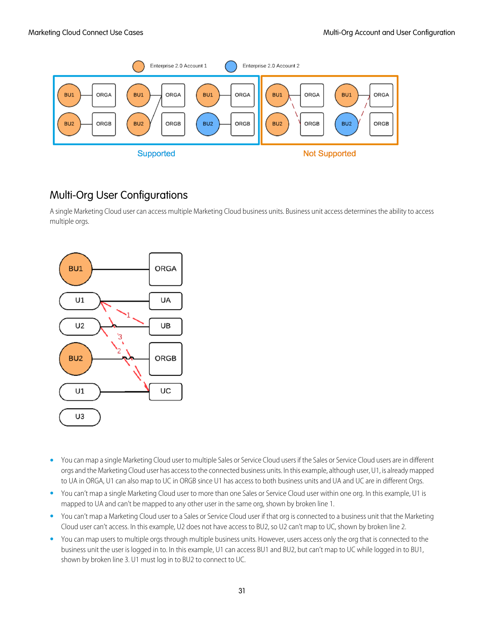

### Multi-Org User Configurations

A single Marketing Cloud user can access multiple Marketing Cloud business units. Business unit access determines the ability to access multiple orgs.



- **•** You can map a single Marketing Cloud user to multiple Sales or Service Cloud users if the Sales or Service Cloud users are in different orgs and the Marketing Cloud user has access to the connected business units. In this example, although user, U1, is already mapped to UA in ORGA, U1 can also map to UC in ORGB since U1 has access to both business units and UA and UC are in different Orgs.
- **•** You can't map a single Marketing Cloud user to more than one Sales or Service Cloud user within one org. In this example, U1 is mapped to UA and can't be mapped to any other user in the same org, shown by broken line 1.
- **•** You can't map a Marketing Cloud user to a Sales or Service Cloud user if that org is connected to a business unit that the Marketing Cloud user can't access. In this example, U2 does not have access to BU2, so U2 can't map to UC, shown by broken line 2.
- You can map users to multiple orgs through multiple business units. However, users access only the org that is connected to the business unit the user is logged in to. In this example, U1 can access BU1 and BU2, but can't map to UC while logged in to BU1, shown by broken line 3. U1 must log in to BU2 to connect to UC.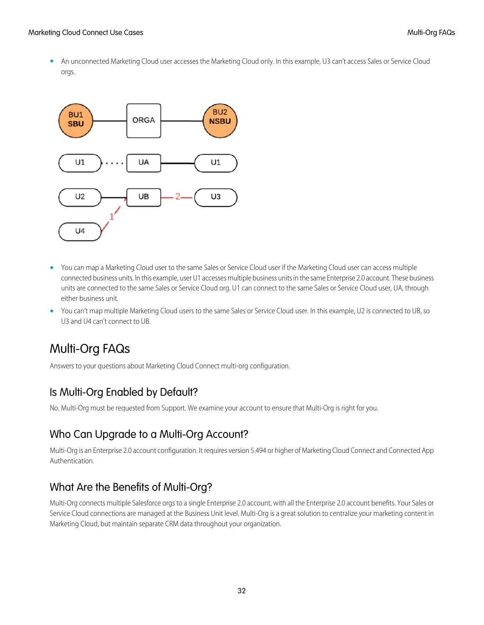**•** An unconnected Marketing Cloud user accesses the Marketing Cloud only. In this example, U3 can't access Sales or Service Cloud orgs.



- **•** You can map a Marketing Cloud user to the same Sales or Service Cloud user if the Marketing Cloud user can access multiple connected business units. In this example, user U1 accesses multiple business units in the same Enterprise 2.0 account. These business units are connected to the same Sales or Service Cloud org. U1 can connect to the same Sales or Service Cloud user, UA, through either business unit.
- <span id="page-35-0"></span>**•** You can't map multiple Marketing Cloud users to the same Sales or Service Cloud user. In this example, U2 is connected to UB, so U3 and U4 can't connect to UB.

### Multi-Org FAQs

Answers to your questions about Marketing Cloud Connect multi-org configuration.

### Is Multi-Org Enabled by Default?

No. Multi-Org must be requested from Support. We examine your account to ensure that Multi-Org is right for you.

### Who Can Upgrade to a Multi-Org Account?

Multi-Org is an Enterprise 2.0 account configuration. It requires version 5.494 or higher of Marketing Cloud Connect and Connected App Authentication.

### What Are the Benefits of Multi-Org?

Multi-Org connects multiple Salesforce orgs to a single Enterprise 2.0 account, with all the Enterprise 2.0 account benefits. Your Sales or Service Cloud connections are managed at the Business Unit level. Multi-Org is a great solution to centralize your marketing content in Marketing Cloud, but maintain separate CRM data throughout your organization.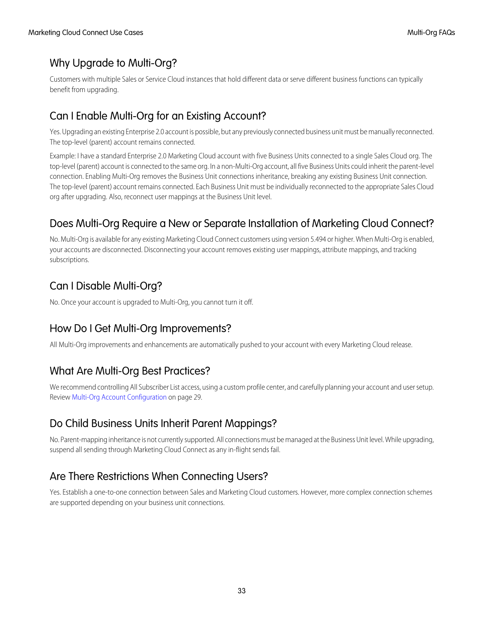### Why Upgrade to Multi-Org?

Customers with multiple Sales or Service Cloud instances that hold different data or serve different business functions can typically benefit from upgrading.

### Can I Enable Multi-Org for an Existing Account?

Yes. Upgrading an existing Enterprise 2.0 account is possible, but any previously connected business unit must be manually reconnected. The top-level (parent) account remains connected.

Example: I have a standard Enterprise 2.0 Marketing Cloud account with five Business Units connected to a single Sales Cloud org. The top-level (parent) account is connected to the same org. In a non-Multi-Org account, all five Business Units could inherit the parent-level connection. Enabling Multi-Org removes the Business Unit connections inheritance, breaking any existing Business Unit connection. The top-level (parent) account remains connected. Each Business Unit must be individually reconnected to the appropriate Sales Cloud org after upgrading. Also, reconnect user mappings at the Business Unit level.

### Does Multi-Org Require a New or Separate Installation of Marketing Cloud Connect?

No. Multi-Org is available for any existing Marketing Cloud Connect customers using version 5.494 or higher. When Multi-Org is enabled, your accounts are disconnected. Disconnecting your account removes existing user mappings, attribute mappings, and tracking subscriptions.

### Can I Disable Multi-Org?

No. Once your account is upgraded to Multi-Org, you cannot turn it off.

### How Do I Get Multi-Org Improvements?

All Multi-Org improvements and enhancements are automatically pushed to your account with every Marketing Cloud release.

### What Are Multi-Org Best Practices?

We recommend controlling All Subscriber List access, using a custom profile center, and carefully planning your account and user setup. Review [Multi-Org Account Configuration](#page-32-1) on page 29.

### Do Child Business Units Inherit Parent Mappings?

No. Parent-mapping inheritance is not currently supported. All connections must be managed at the Business Unit level. While upgrading, suspend all sending through Marketing Cloud Connect as any in-flight sends fail.

### Are There Restrictions When Connecting Users?

Yes. Establish a one-to-one connection between Sales and Marketing Cloud customers. However, more complex connection schemes are supported depending on your business unit connections.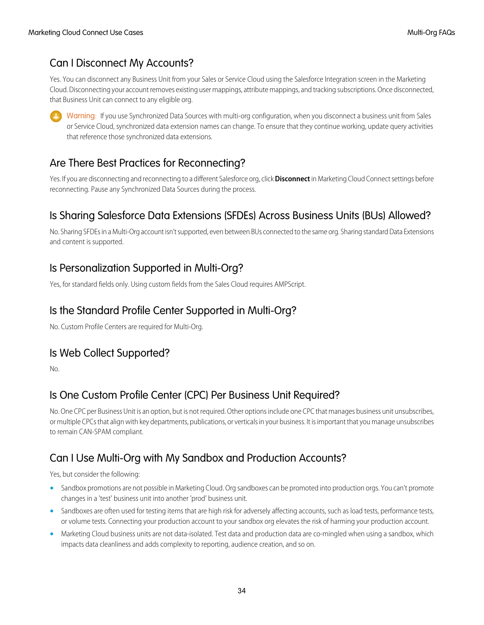### Can I Disconnect My Accounts?

Yes. You can disconnect any Business Unit from your Sales or Service Cloud using the Salesforce Integration screen in the Marketing Cloud. Disconnecting your account removes existing user mappings, attribute mappings, and tracking subscriptions. Once disconnected, that Business Unit can connect to any eligible org.

Warning: If you use Synchronized Data Sources with multi-org configuration, when you disconnect a business unit from Sales or Service Cloud, synchronized data extension names can change. To ensure that they continue working, update query activities that reference those synchronized data extensions.

### Are There Best Practices for Reconnecting?

Yes. If you are disconnecting and reconnecting to a different Salesforce org, click **Disconnect** in Marketing Cloud Connect settings before reconnecting. Pause any Synchronized Data Sources during the process.

### Is Sharing Salesforce Data Extensions (SFDEs) Across Business Units (BUs) Allowed?

No. Sharing SFDEs in a Multi-Org account isn't supported, even between BUs connected to the same org. Sharing standard Data Extensions and content is supported.

### Is Personalization Supported in Multi-Org?

Yes, for standard fields only. Using custom fields from the Sales Cloud requires AMPScript.

### Is the Standard Profile Center Supported in Multi-Org?

No. Custom Profile Centers are required for Multi-Org.

### Is Web Collect Supported?

No.

### Is One Custom Profile Center (CPC) Per Business Unit Required?

No. One CPC per Business Unit is an option, but is not required. Other options include one CPC that manages business unit unsubscribes, or multiple CPCs that align with key departments, publications, or verticals in your business. It is important that you manage unsubscribes to remain CAN-SPAM compliant.

### Can I Use Multi-Org with My Sandbox and Production Accounts?

Yes, but consider the following:

- **•** Sandbox promotions are not possible in Marketing Cloud. Org sandboxes can be promoted into production orgs. You can't promote changes in a 'test' business unit into another 'prod' business unit.
- Sandboxes are often used for testing items that are high risk for adversely affecting accounts, such as load tests, performance tests, or volume tests. Connecting your production account to your sandbox org elevates the risk of harming your production account.
- **•** Marketing Cloud business units are not data-isolated. Test data and production data are co-mingled when using a sandbox, which impacts data cleanliness and adds complexity to reporting, audience creation, and so on.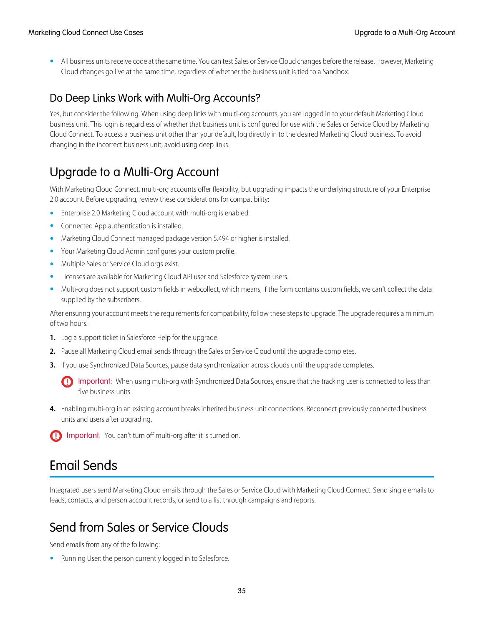**•** All business units receive code at the same time. You can test Sales or Service Cloud changes before the release. However, Marketing Cloud changes go live at the same time, regardless of whether the business unit is tied to a Sandbox.

### Do Deep Links Work with Multi-Org Accounts?

Yes, but consider the following. When using deep links with multi-org accounts, you are logged in to your default Marketing Cloud business unit. This login is regardless of whether that business unit is configured for use with the Sales or Service Cloud by Marketing Cloud Connect. To access a business unit other than your default, log directly in to the desired Marketing Cloud business. To avoid changing in the incorrect business unit, avoid using deep links.

### <span id="page-38-1"></span>Upgrade to a Multi-Org Account

With Marketing Cloud Connect, multi-org accounts offer flexibility, but upgrading impacts the underlying structure of your Enterprise 2.0 account. Before upgrading, review these considerations for compatibility:

- **•** Enterprise 2.0 Marketing Cloud account with multi-org is enabled.
- **•** Connected App authentication is installed.
- **•** Marketing Cloud Connect managed package version 5.494 or higher is installed.
- **•** Your Marketing Cloud Admin configures your custom profile.
- **•** Multiple Sales or Service Cloud orgs exist.
- **•** Licenses are available for Marketing Cloud API user and Salesforce system users.
- **•** Multi-org does not support custom fields in webcollect, which means, if the form contains custom fields, we can't collect the data supplied by the subscribers.

After ensuring your account meets the requirements for compatibility, follow these steps to upgrade. The upgrade requires a minimum of two hours.

- **1.** Log a support ticket in Salesforce Help for the upgrade.
- **2.** Pause all Marketing Cloud email sends through the Sales or Service Cloud until the upgrade completes.
- **3.** If you use Synchronized Data Sources, pause data synchronization across clouds until the upgrade completes.

Important: When using multi-org with Synchronized Data Sources, ensure that the tracking user is connected to less than  $\bigcap$ five business units.

- <span id="page-38-0"></span>**4.** Enabling multi-org in an existing account breaks inherited business unit connections. Reconnect previously connected business units and users after upgrading.
- Important: You can't turn off multi-org after it is turned on.

### Email Sends

Integrated users send Marketing Cloud emails through the Sales or Service Cloud with Marketing Cloud Connect. Send single emails to leads, contacts, and person account records, or send to a list through campaigns and reports.

### Send from Sales or Service Clouds

Send emails from any of the following:

**•** Running User: the person currently logged in to Salesforce.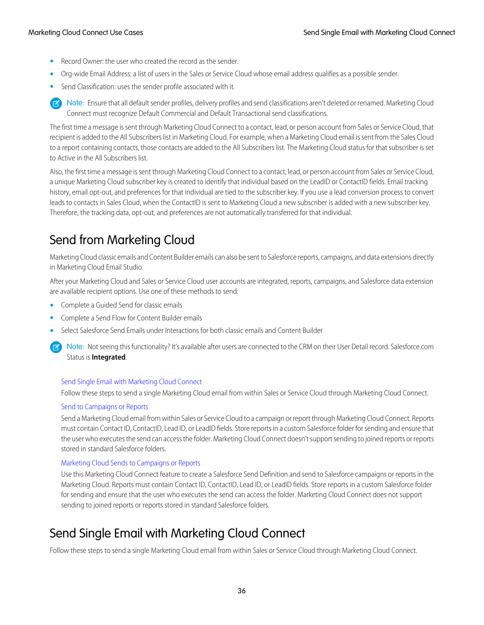- **•** Record Owner: the user who created the record as the sender.
- **•** Org-wide Email Address: a list of users in the Sales or Service Cloud whose email address qualifies as a possible sender.
- **•** Send Classification: uses the sender profile associated with it.

Note: Ensure that all default sender profiles, delivery profiles and send classifications aren't deleted or renamed. Marketing Cloud Connect must recognize Default Commercial and Default Transactional send classifications.

The first time a message is sent through Marketing Cloud Connect to a contact, lead, or person account from Sales or Service Cloud, that recipient is added to the All Subscribers list in Marketing Cloud. For example, when a Marketing Cloud email is sent from the Sales Cloud to a report containing contacts, those contacts are added to the All Subscribers list. The Marketing Cloud status for that subscriber is set to Active in the All Subscribers list.

Also, the first time a message is sent through Marketing Cloud Connect to a contact, lead, or person account from Sales or Service Cloud, a unique Marketing Cloud subscriber key is created to identify that individual based on the LeadID or ContactID fields. Email tracking history, email opt-out, and preferences for that individual are tied to the subscriber key. If you use a lead conversion process to convert leads to contacts in Sales Cloud, when the ContactID is sent to Marketing Cloud a new subscriber is added with a new subscriber key. Therefore, the tracking data, opt-out, and preferences are not automatically transferred for that individual.

### Send from Marketing Cloud

Marketing Cloud classic emails and Content Builder emails can also be sent to Salesforce reports, campaigns, and data extensions directly in Marketing Cloud Email Studio.

After your Marketing Cloud and Sales or Service Cloud user accounts are integrated, reports, campaigns, and Salesforce data extension are available recipient options. Use one of these methods to send:

- **•** Complete a Guided Send for classic emails
- **•** Complete a Send Flow for Content Builder emails
- **•** Select Salesforce Send Emails under Interactions for both classic emails and Content Builder
	- Note: Not seeing this functionality? It's available after users are connected to the CRM on their User Detail record. Salesforce.com Status is **Integrated**.

#### [Send Single Email with Marketing Cloud Connect](#page-39-0)

Follow these steps to send a single Marketing Cloud email from within Sales or Service Cloud through Marketing Cloud Connect.

#### [Send to Campaigns or Reports](#page-40-0)

Send a Marketing Cloud email from within Sales or Service Cloud to a campaign or report through Marketing Cloud Connect. Reports must contain Contact ID, ContactID, Lead ID, or LeadID fields. Store reports in a custom Salesforce folder for sending and ensure that the user who executes the send can access the folder. Marketing Cloud Connect doesn't support sending to joined reports or reports stored in standard Salesforce folders.

#### [Marketing Cloud Sends to Campaigns or Reports](#page-41-0)

<span id="page-39-0"></span>Use this Marketing Cloud Connect feature to create a Salesforce Send Definition and send to Salesforce campaigns or reports in the Marketing Cloud. Reports must contain Contact ID, ContactID, Lead ID, or LeadID fields. Store reports in a custom Salesforce folder for sending and ensure that the user who executes the send can access the folder. Marketing Cloud Connect does not support sending to joined reports or reports stored in standard Salesforce folders.

### Send Single Email with Marketing Cloud Connect

Follow these steps to send a single Marketing Cloud email from within Sales or Service Cloud through Marketing Cloud Connect.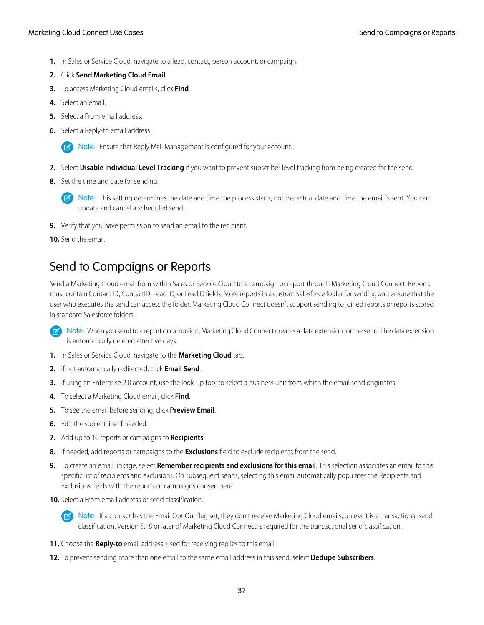#### Marketing Cloud Connect Use Cases Send to Campaigns or Reports Send to Campaigns or Reports

- **1.** In Sales or Service Cloud, navigate to a lead, contact, person account, or campaign.
- **2.** Click **Send Marketing Cloud Email**.
- **3.** To access Marketing Cloud emails, click **Find**.
- **4.** Select an email.
- **5.** Select a From email address.
- **6.** Select a Reply-to email address.

Note: Ensure that Reply Mail Management is configured for your account.

- **7.** Select **Disable Individual Level Tracking** if you want to prevent subscriber level tracking from being created for the send.
- **8.** Set the time and date for sending.

 $\Box$  Note: This setting determines the date and time the process starts, not the actual date and time the email is sent. You can update and cancel a scheduled send.

- **9.** Verify that you have permission to send an email to the recipient.
- <span id="page-40-0"></span>**10.** Send the email.

### Send to Campaigns or Reports

Send a Marketing Cloud email from within Sales or Service Cloud to a campaign or report through Marketing Cloud Connect. Reports must contain Contact ID, ContactID, Lead ID, or LeadID fields. Store reports in a custom Salesforce folder for sending and ensure that the user who executes the send can access the folder. Marketing Cloud Connect doesn't support sending to joined reports or reports stored in standard Salesforce folders.

Note: When you send to a report or campaign, Marketing Cloud Connect creates a data extension for the send. The data extension is automatically deleted after five days.

- **1.** In Sales or Service Cloud, navigate to the **Marketing Cloud** tab.
- **2.** If not automatically redirected, click **Email Send**.
- **3.** If using an Enterprise 2.0 account, use the look-up tool to select a business unit from which the email send originates.
- **4.** To select a Marketing Cloud email, click **Find**.
- **5.** To see the email before sending, click **Preview Email**.
- **6.** Edit the subject line if needed.
- **7.** Add up to 10 reports or campaigns to **Recipients**.
- **8.** If needed, add reports or campaigns to the **Exclusions** field to exclude recipients from the send.
- **9.** To create an email linkage, select **Remember recipients and exclusions for this email**. This selection associates an email to this specific list of recipients and exclusions. On subsequent sends, selecting this email automatically populates the Recipients and Exclusions fields with the reports or campaigns chosen here.
- **10.** Select a From email address or send classification.

Note: If a contact has the Email Opt Out flag set, they don't receive Marketing Cloud emails, unless it is a transactional send classification. Version 5.18 or later of Marketing Cloud Connect is required for the transactional send classification.

- **11.** Choose the **Reply-to** email address, used for receiving replies to this email.
- **12.** To prevent sending more than one email to the same email address in this send, select **Dedupe Subscribers**.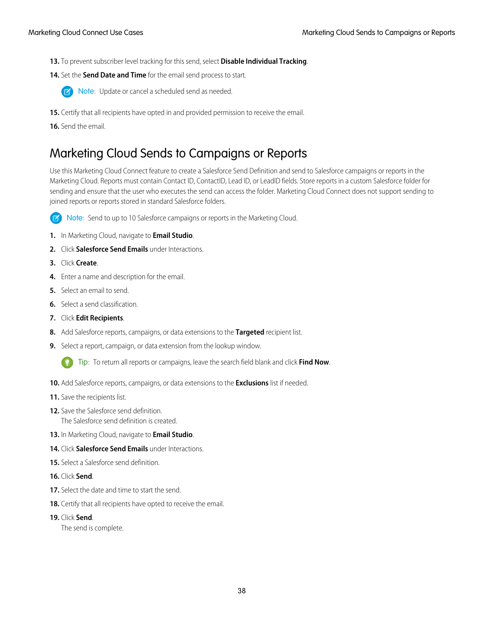- **13.** To prevent subscriber level tracking for this send, select **Disable Individual Tracking**.
- **14.** Set the **Send Date and Time** for the email send process to start.



- **TA** Note: Update or cancel a scheduled send as needed.
- **15.** Certify that all recipients have opted in and provided permission to receive the email.
- <span id="page-41-0"></span>**16.** Send the email.

### Marketing Cloud Sends to Campaigns or Reports

Use this Marketing Cloud Connect feature to create a Salesforce Send Definition and send to Salesforce campaigns or reports in the Marketing Cloud. Reports must contain Contact ID, ContactID, Lead ID, or LeadID fields. Store reports in a custom Salesforce folder for sending and ensure that the user who executes the send can access the folder. Marketing Cloud Connect does not support sending to joined reports or reports stored in standard Salesforce folders.



Note: Send to up to 10 Salesforce campaigns or reports in the Marketing Cloud.

- **1.** In Marketing Cloud, navigate to **Email Studio**.
- **2.** Click **Salesforce Send Emails** under Interactions.
- **3.** Click **Create**.
- **4.** Enter a name and description for the email.
- **5.** Select an email to send.
- **6.** Select a send classification.
- **7.** Click **Edit Recipients**.
- **8.** Add Salesforce reports, campaigns, or data extensions to the **Targeted** recipient list.
- **9.** Select a report, campaign, or data extension from the lookup window.
	- Tip: To return all reports or campaigns, leave the search field blank and click **Find Now**.
- **10.** Add Salesforce reports, campaigns, or data extensions to the **Exclusions** list if needed.
- **11.** Save the recipients list.
- **12.** Save the Salesforce send definition. The Salesforce send definition is created.
- **13.** In Marketing Cloud, navigate to **Email Studio**.
- **14.** Click **Salesforce Send Emails** under Interactions.
- **15.** Select a Salesforce send definition.
- **16.** Click **Send**.
- **17.** Select the date and time to start the send.
- **18.** Certify that all recipients have opted to receive the email.
- **19.** Click **Send**.

The send is complete.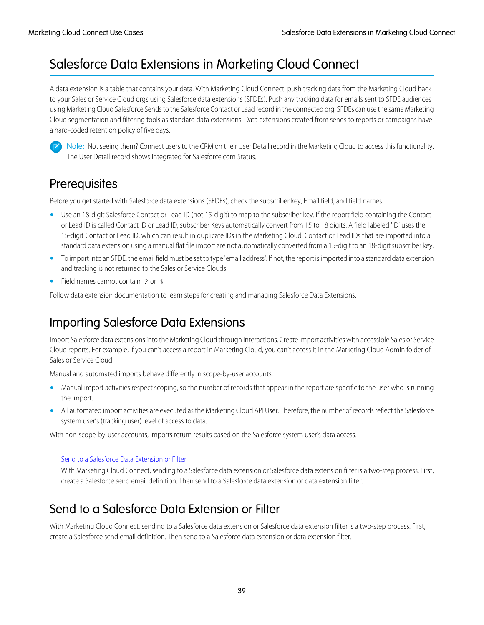### <span id="page-42-0"></span>Salesforce Data Extensions in Marketing Cloud Connect

A data extension is a table that contains your data. With Marketing Cloud Connect, push tracking data from the Marketing Cloud back to your Sales or Service Cloud orgs using Salesforce data extensions (SFDEs). Push any tracking data for emails sent to SFDE audiences using Marketing Cloud Salesforce Sends to the Salesforce Contact or Lead record in the connected org. SFDEs can use the same Marketing Cloud segmentation and filtering tools as standard data extensions. Data extensions created from sends to reports or campaigns have a hard-coded retention policy of five days.



Note: Not seeing them? Connect users to the CRM on their User Detail record in the Marketing Cloud to access this functionality. The User Detail record shows Integrated for Salesforce.com Status.

### **Prerequisites**

Before you get started with Salesforce data extensions (SFDEs), check the subscriber key, Email field, and field names.

- **•** Use an 18-digit Salesforce Contact or Lead ID (not 15-digit) to map to the subscriber key. If the report field containing the Contact or Lead ID is called Contact ID or Lead ID, subscriber Keys automatically convert from 15 to 18 digits. A field labeled 'ID' uses the 15-digit Contact or Lead ID, which can result in duplicate IDs in the Marketing Cloud. Contact or Lead IDs that are imported into a standard data extension using a manual flat file import are not automatically converted from a 15-digit to an 18-digit subscriber key.
- **•** To import into an SFDE, the email field must be set to type 'email address'. If not, the report is imported into a standard data extension and tracking is not returned to the Sales or Service Clouds.
- **•** Field names cannot contain *?* or *%*.

Follow data extension documentation to learn steps for creating and managing Salesforce Data Extensions.

### Importing Salesforce Data Extensions

Import Salesforce data extensions into the Marketing Cloud through Interactions. Create import activities with accessible Sales or Service Cloud reports. For example, if you can't access a report in Marketing Cloud, you can't access it in the Marketing Cloud Admin folder of Sales or Service Cloud.

Manual and automated imports behave differently in scope-by-user accounts:

- **•** Manual import activities respect scoping, so the number of records that appear in the report are specific to the user who is running the import.
- **•** All automated import activities are executed as the Marketing Cloud API User. Therefore, the number of records reflect the Salesforce system user's (tracking user) level of access to data.

With non-scope-by-user accounts, imports return results based on the Salesforce system user's data access.

<span id="page-42-1"></span>[Send to a Salesforce Data Extension or Filter](#page-42-1)

With Marketing Cloud Connect, sending to a Salesforce data extension or Salesforce data extension filter is a two-step process. First, create a Salesforce send email definition. Then send to a Salesforce data extension or data extension filter.

### Send to a Salesforce Data Extension or Filter

With Marketing Cloud Connect, sending to a Salesforce data extension or Salesforce data extension filter is a two-step process. First, create a Salesforce send email definition. Then send to a Salesforce data extension or data extension filter.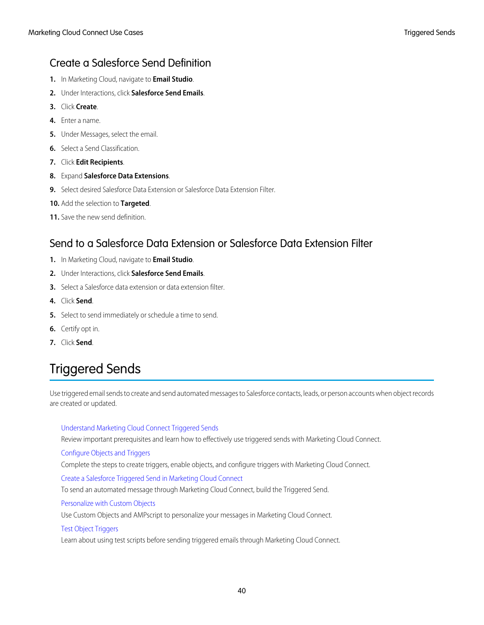### Create a Salesforce Send Definition

- **1.** In Marketing Cloud, navigate to **Email Studio**.
- **2.** Under Interactions, click **Salesforce Send Emails**.
- **3.** Click **Create**.
- **4.** Enter a name.
- **5.** Under Messages, select the email.
- **6.** Select a Send Classification.
- **7.** Click **Edit Recipients**.
- **8.** Expand **Salesforce Data Extensions**.
- **9.** Select desired Salesforce Data Extension or Salesforce Data Extension Filter.
- **10.** Add the selection to **Targeted**.
- **11.** Save the new send definition.

### Send to a Salesforce Data Extension or Salesforce Data Extension Filter

- **1.** In Marketing Cloud, navigate to **Email Studio**.
- **2.** Under Interactions, click **Salesforce Send Emails**.
- **3.** Select a Salesforce data extension or data extension filter.
- **4.** Click **Send**.
- **5.** Select to send immediately or schedule a time to send.
- <span id="page-43-0"></span>**6.** Certify opt in.
- **7.** Click **Send**.

### Triggered Sends

Use triggered email sends to create and send automated messages to Salesforce contacts, leads, or person accounts when object records are created or updated.

#### [Understand Marketing Cloud Connect Triggered Sends](#page-44-0)

Review important prerequisites and learn how to effectively use triggered sends with Marketing Cloud Connect.

[Configure Objects and Triggers](#page-44-1)

Complete the steps to create triggers, enable objects, and configure triggers with Marketing Cloud Connect.

[Create a Salesforce Triggered Send in Marketing Cloud Connect](#page-45-0)

To send an automated message through Marketing Cloud Connect, build the Triggered Send.

#### [Personalize with Custom Objects](#page-46-0)

Use Custom Objects and AMPscript to personalize your messages in Marketing Cloud Connect.

#### [Test Object Triggers](#page-47-1)

Learn about using test scripts before sending triggered emails through Marketing Cloud Connect.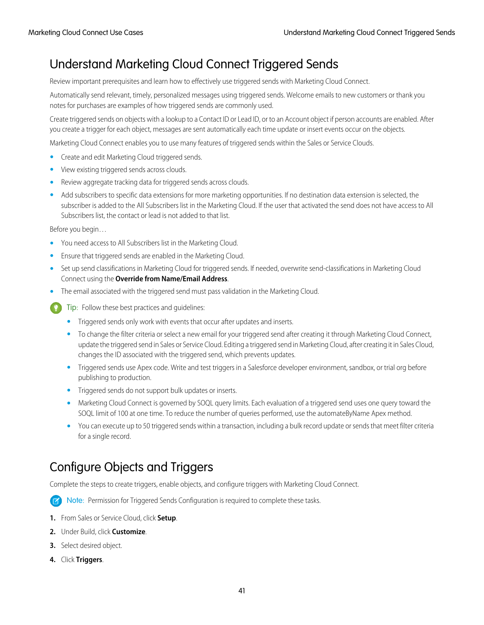### <span id="page-44-0"></span>Understand Marketing Cloud Connect Triggered Sends

Review important prerequisites and learn how to effectively use triggered sends with Marketing Cloud Connect.

Automatically send relevant, timely, personalized messages using triggered sends. Welcome emails to new customers or thank you notes for purchases are examples of how triggered sends are commonly used.

Create triggered sends on objects with a lookup to a Contact ID or Lead ID, or to an Account object if person accounts are enabled. After you create a trigger for each object, messages are sent automatically each time update or insert events occur on the objects.

Marketing Cloud Connect enables you to use many features of triggered sends within the Sales or Service Clouds.

- **•** Create and edit Marketing Cloud triggered sends.
- **•** View existing triggered sends across clouds.
- **•** Review aggregate tracking data for triggered sends across clouds.
- **•** Add subscribers to specific data extensions for more marketing opportunities. If no destination data extension is selected, the subscriber is added to the All Subscribers list in the Marketing Cloud. If the user that activated the send does not have access to All Subscribers list, the contact or lead is not added to that list.

Before you begin…

- **•** You need access to All Subscribers list in the Marketing Cloud.
- **•** Ensure that triggered sends are enabled in the Marketing Cloud.
- **•** Set up send classifications in Marketing Cloud for triggered sends. If needed, overwrite send-classifications in Marketing Cloud Connect using the **Override from Name/Email Address**.
- **•** The email associated with the triggered send must pass validation in the Marketing Cloud.
	- Tip: Follow these best practices and quidelines:
		- **•** Triggered sends only work with events that occur after updates and inserts.
		- **•** To change the filter criteria or select a new email for your triggered send after creating it through Marketing Cloud Connect, update the triggered send in Sales or Service Cloud. Editing a triggered send in Marketing Cloud, after creating it in Sales Cloud, changes the ID associated with the triggered send, which prevents updates.
		- **•** Triggered sends use Apex code. Write and test triggers in a Salesforce developer environment, sandbox, or trial org before publishing to production.
		- **•** Triggered sends do not support bulk updates or inserts.
		- **•** Marketing Cloud Connect is governed by SOQL query limits. Each evaluation of a triggered send uses one query toward the SOQL limit of 100 at one time. To reduce the number of queries performed, use the automateByName Apex method.
		- **•** You can execute up to 50 triggered sends within a transaction, including a bulk record update or sends that meet filter criteria for a single record.

### <span id="page-44-1"></span>Configure Objects and Triggers

Complete the steps to create triggers, enable objects, and configure triggers with Marketing Cloud Connect.

Note: Permission for Triggered Sends Configuration is required to complete these tasks.

- **1.** From Sales or Service Cloud, click **Setup**.
- **2.** Under Build, click **Customize**.
- **3.** Select desired object.
- **4.** Click **Triggers**.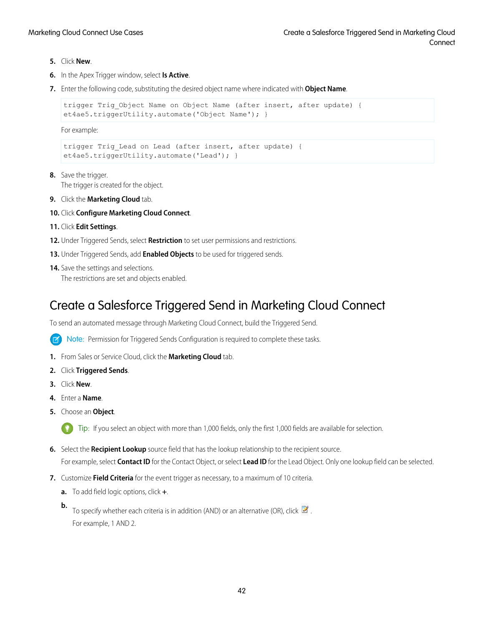- **5.** Click **New**.
- **6.** In the Apex Trigger window, select **Is Active**.
- **7.** Enter the following code, substituting the desired object name where indicated with **Object Name**.

```
trigger Trig Object Name on Object Name (after insert, after update) {
et4ae5.triggerUtility.automate('Object Name'); }
```
For example:

```
trigger Trig Lead on Lead (after insert, after update) {
et4ae5.triggerUtility.automate('Lead'); }
```
- **8.** Save the trigger. The trigger is created for the object.
- **9.** Click the **Marketing Cloud** tab.
- **10.** Click **Configure Marketing Cloud Connect**.
- **11.** Click **Edit Settings**.
- **12.** Under Triggered Sends, select **Restriction** to set user permissions and restrictions.
- **13.** Under Triggered Sends, add **Enabled Objects** to be used for triggered sends.
- <span id="page-45-0"></span>**14.** Save the settings and selections.

The restrictions are set and objects enabled.

### Create a Salesforce Triggered Send in Marketing Cloud Connect

To send an automated message through Marketing Cloud Connect, build the Triggered Send.

Note: Permission for Triggered Sends Configuration is required to complete these tasks.  $\left( \mathbf{z}\right)$ 

- **1.** From Sales or Service Cloud, click the **Marketing Cloud** tab.
- **2.** Click **Triggered Sends**.
- **3.** Click **New**.
- **4.** Enter a **Name**.
- **5.** Choose an **Object**.

Tip: If you select an object with more than 1,000 fields, only the first 1,000 fields are available for selection.

- **6.** Select the **Recipient Lookup** source field that has the lookup relationship to the recipient source. For example, select **Contact ID** for the Contact Object, or select **Lead ID** for the Lead Object. Only one lookup field can be selected.
- **7.** Customize **Field Criteria** for the event trigger as necessary, to a maximum of 10 criteria.
	- **a.** To add field logic options, click **+**.
	- **b.** To specify whether each criteria is in addition (AND) or an alternative (OR), click **8**. For example, 1 AND 2.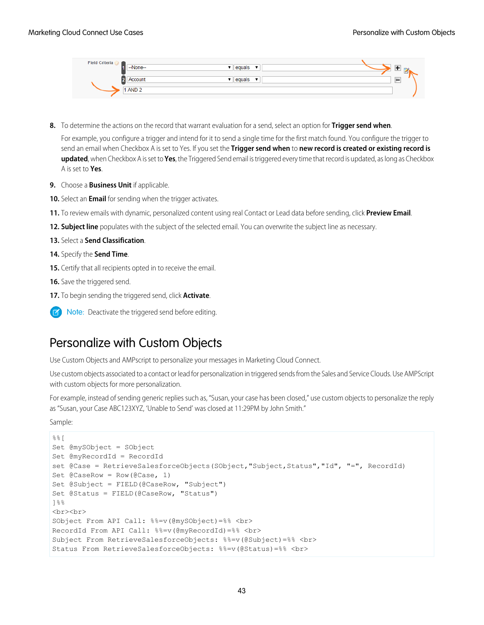| --None--<br>equals      |
|-------------------------|
|                         |
|                         |
| --<br>Account<br>equals |
|                         |
| 1 AND 2                 |
|                         |

- **8.** To determine the actions on the record that warrant evaluation for a send, select an option for **Trigger send when**. For example, you configure a trigger and intend for it to send a single time for the first match found. You configure the trigger to send an email when Checkbox A is set to Yes. If you set the **Trigger send when** to **new record is created or existing record is updated**, when Checkbox A is set to **Yes**, the Triggered Send email is triggered every time that record is updated, as long as Checkbox A is set to **Yes**.
- **9.** Choose a **Business Unit** if applicable.
- **10.** Select an **Email** for sending when the trigger activates.
- **11.** To review emails with dynamic, personalized content using real Contact or Lead data before sending, click **Preview Email**.
- **12. Subject line** populates with the subject of the selected email. You can overwrite the subject line as necessary.
- **13.** Select a **Send Classification**.
- **14.** Specify the **Send Time**.
- **15.** Certify that all recipients opted in to receive the email.
- **16.** Save the triggered send.
- **17.** To begin sending the triggered send, click **Activate**.
- <span id="page-46-0"></span>Note: Deactivate the triggered send before editing.

### Personalize with Custom Objects

Use Custom Objects and AMPscript to personalize your messages in Marketing Cloud Connect.

Use custom objects associated to a contact or lead for personalization in triggered sends from the Sales and Service Clouds. Use AMPScript with custom objects for more personalization.

For example, instead of sending generic replies such as, "Susan, your case has been closed," use custom objects to personalize the reply as "Susan, your Case ABC123XYZ, 'Unable to Send' was closed at 11:29PM by John Smith."

Sample:

```
%Set @mySObject = SObject
Set @myRecordId = RecordId
set @Case = RetrieveSalesforceObjects(SObject, "Subject, Status", "Id", "=", RecordId)
Set @CaseRow = Row(@Case, 1)Set @Subject = FIELD(@CaseRow, "Subject")
Set @Status = FIELD(@CaseRow, "Status")
]%%
<br><br>
SObject From API Call: %%=v(@mySObject)=%% <br>
RecordId From API Call: %%=v(@myRecordId)=%% <br>
Subject From RetrieveSalesforceObjects: %%=v(@Subject)=%% <br>
Status From RetrieveSalesforceObjects: %%=v(@Status)=%% <br>
```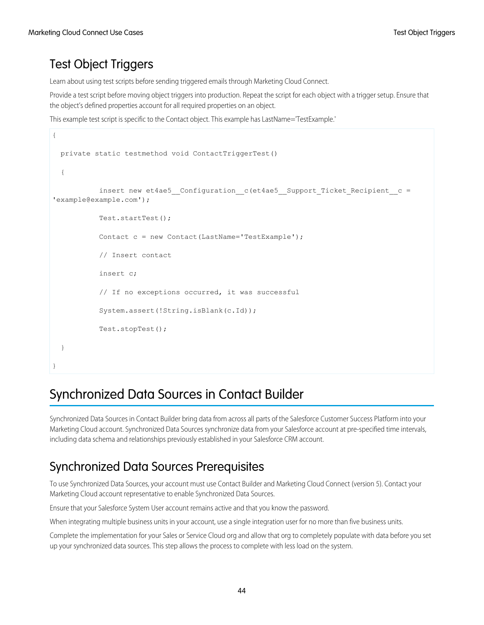### <span id="page-47-1"></span>Test Object Triggers

Learn about using test scripts before sending triggered emails through Marketing Cloud Connect.

Provide a test script before moving object triggers into production. Repeat the script for each object with a trigger setup. Ensure that the object's defined properties account for all required properties on an object.

This example test script is specific to the Contact object. This example has LastName='TestExample.'

```
{
 private static testmethod void ContactTriggerTest()
  {
           insert new et4ae5__Configuration__c(et4ae5__Support_Ticket_Recipient__c =
'example@example.com');
           Test.startTest();
           Contact c = new Contact(LastName='TestExample');
           // Insert contact
           insert c;
           // If no exceptions occurred, it was successful
           System.assert(!String.isBlank(c.Id));
           Test.stopTest();
  }
}
```
### <span id="page-47-0"></span>Synchronized Data Sources in Contact Builder

Synchronized Data Sources in Contact Builder bring data from across all parts of the Salesforce Customer Success Platform into your Marketing Cloud account. Synchronized Data Sources synchronize data from your Salesforce account at pre-specified time intervals, including data schema and relationships previously established in your Salesforce CRM account.

### Synchronized Data Sources Prerequisites

To use Synchronized Data Sources, your account must use Contact Builder and Marketing Cloud Connect (version 5). Contact your Marketing Cloud account representative to enable Synchronized Data Sources.

Ensure that your Salesforce System User account remains active and that you know the password.

When integrating multiple business units in your account, use a single integration user for no more than five business units.

Complete the implementation for your Sales or Service Cloud org and allow that org to completely populate with data before you set up your synchronized data sources. This step allows the process to complete with less load on the system.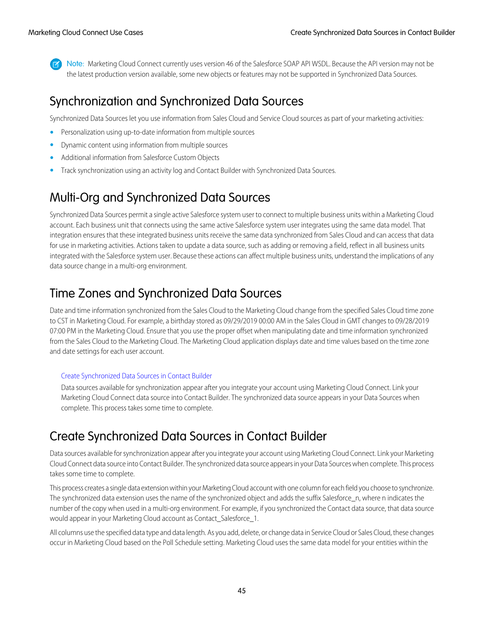Note: Marketing Cloud Connect currently uses version 46 of the Salesforce SOAP API WSDL. Because the API version may not be the latest production version available, some new objects or features may not be supported in Synchronized Data Sources.

### Synchronization and Synchronized Data Sources

Synchronized Data Sources let you use information from Sales Cloud and Service Cloud sources as part of your marketing activities:

- **•** Personalization using up-to-date information from multiple sources
- **•** Dynamic content using information from multiple sources
- **•** Additional information from Salesforce Custom Objects
- **•** Track synchronization using an activity log and Contact Builder with Synchronized Data Sources.

### Multi-Org and Synchronized Data Sources

Synchronized Data Sources permit a single active Salesforce system user to connect to multiple business units within a Marketing Cloud account. Each business unit that connects using the same active Salesforce system user integrates using the same data model. That integration ensures that these integrated business units receive the same data synchronized from Sales Cloud and can access that data for use in marketing activities. Actions taken to update a data source, such as adding or removing a field, reflect in all business units integrated with the Salesforce system user. Because these actions can affect multiple business units, understand the implications of any data source change in a multi-org environment.

### Time Zones and Synchronized Data Sources

Date and time information synchronized from the Sales Cloud to the Marketing Cloud change from the specified Sales Cloud time zone to CST in Marketing Cloud. For example, a birthday stored as 09/29/2019 00:00 AM in the Sales Cloud in GMT changes to 09/28/2019 07:00 PM in the Marketing Cloud. Ensure that you use the proper offset when manipulating date and time information synchronized from the Sales Cloud to the Marketing Cloud. The Marketing Cloud application displays date and time values based on the time zone and date settings for each user account.

#### [Create Synchronized Data Sources in Contact Builder](#page-48-0)

<span id="page-48-0"></span>Data sources available for synchronization appear after you integrate your account using Marketing Cloud Connect. Link your Marketing Cloud Connect data source into Contact Builder. The synchronized data source appears in your Data Sources when complete. This process takes some time to complete.

### Create Synchronized Data Sources in Contact Builder

Data sources available for synchronization appear after you integrate your account using Marketing Cloud Connect. Link your Marketing Cloud Connect data source into Contact Builder. The synchronized data source appears in your Data Sources when complete. This process takes some time to complete.

This process creates a single data extension within your Marketing Cloud account with one column for each field you choose to synchronize. The synchronized data extension uses the name of the synchronized object and adds the suffix Salesforce\_n, where n indicates the number of the copy when used in a multi-org environment. For example, if you synchronized the Contact data source, that data source would appear in your Marketing Cloud account as Contact\_Salesforce\_1.

All columns use the specified data type and data length. As you add, delete, or change data in Service Cloud or Sales Cloud, these changes occur in Marketing Cloud based on the Poll Schedule setting. Marketing Cloud uses the same data model for your entities within the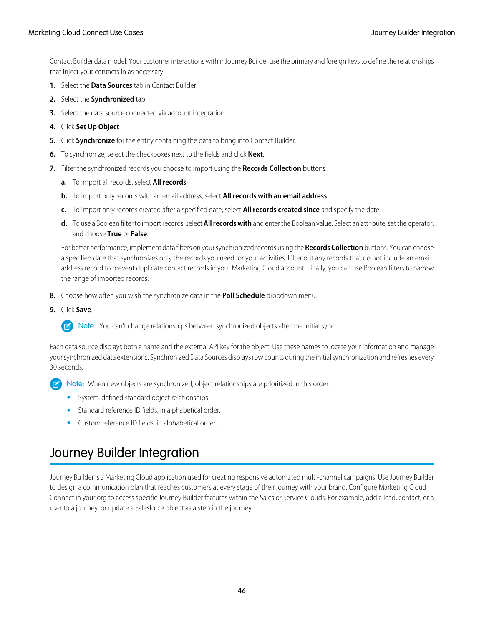Contact Builder data model. Your customer interactions within Journey Builder use the primary and foreign keys to define the relationships that inject your contacts in as necessary.

- **1.** Select the **Data Sources** tab in Contact Builder.
- **2.** Select the **Synchronized** tab.
- **3.** Select the data source connected via account integration.
- **4.** Click **Set Up Object**.
- **5.** Click **Synchronize** for the entity containing the data to bring into Contact Builder.
- **6.** To synchronize, select the checkboxes next to the fields and click **Next**.
- **7.** Filter the synchronized records you choose to import using the **Records Collection** buttons.
	- **a.** To import all records, select **All records**.
	- **b.** To import only records with an email address, select **All records with an email address**.
	- **c.** To import only records created after a specified date, select **All records created since** and specify the date.
	- **d.** To use a Boolean filter to import records, select **All records with** and enter the Boolean value. Select an attribute, set the operator, and choose **True** or **False**.

For better performance, implement data filters on your synchronized records using the **Records Collection** buttons. You can choose a specified date that synchronizes only the records you need for your activities. Filter out any records that do not include an email address record to prevent duplicate contact records in your Marketing Cloud account. Finally, you can use Boolean filters to narrow the range of imported records.

- **8.** Choose how often you wish the synchronize data in the **Poll Schedule** dropdown menu.
- **9.** Click **Save**.

Note: You can't change relationships between synchronized objects after the initial sync.

Each data source displays both a name and the external API key for the object. Use these names to locate your information and manage your synchronized data extensions. Synchronized Data Sources displays row counts during the initial synchronization and refreshes every 30 seconds.

Note: When new objects are synchronized, object relationships are prioritized in this order:

- **•** System-defined standard object relationships.
- <span id="page-49-0"></span>**•** Standard reference ID fields, in alphabetical order.
- **•** Custom reference ID fields, in alphabetical order.

### Journey Builder Integration

Journey Builder is a Marketing Cloud application used for creating responsive automated multi-channel campaigns. Use Journey Builder to design a communication plan that reaches customers at every stage of their journey with your brand. Configure Marketing Cloud Connect in your org to access specific Journey Builder features within the Sales or Service Clouds. For example, add a lead, contact, or a user to a journey, or update a Salesforce object as a step in the journey.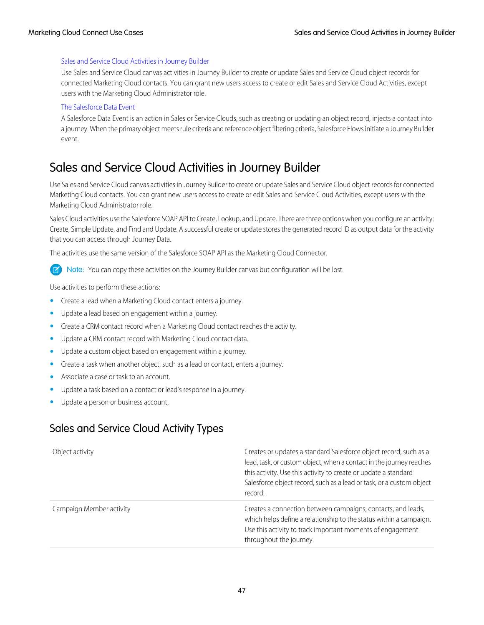#### [Sales and Service Cloud Activities in Journey Builder](#page-50-0)

Use Sales and Service Cloud canvas activities in Journey Builder to create or update Sales and Service Cloud object records for connected Marketing Cloud contacts. You can grant new users access to create or edit Sales and Service Cloud Activities, except users with the Marketing Cloud Administrator role.

#### [The Salesforce Data Event](#page-51-0)

A Salesforce Data Event is an action in Sales or Service Clouds, such as creating or updating an object record, injects a contact into a journey. When the primary object meets rule criteria and reference object filtering criteria, Salesforce Flows initiate a Journey Builder event.

### <span id="page-50-0"></span>Sales and Service Cloud Activities in Journey Builder

Use Sales and Service Cloud canvas activities in Journey Builder to create or update Sales and Service Cloud object records for connected Marketing Cloud contacts. You can grant new users access to create or edit Sales and Service Cloud Activities, except users with the Marketing Cloud Administrator role.

Sales Cloud activities use the Salesforce SOAP API to Create, Lookup, and Update. There are three options when you configure an activity: Create, Simple Update, and Find and Update. A successful create or update stores the generated record ID as output data for the activity that you can access through Journey Data.

The activities use the same version of the Salesforce SOAP API as the Marketing Cloud Connector.

Note: You can copy these activities on the Journey Builder canvas but configuration will be lost.

Use activities to perform these actions:

- **•** Create a lead when a Marketing Cloud contact enters a journey.
- **•** Update a lead based on engagement within a journey.
- **•** Create a CRM contact record when a Marketing Cloud contact reaches the activity.
- **•** Update a CRM contact record with Marketing Cloud contact data.
- **•** Update a custom object based on engagement within a journey.
- **•** Create a task when another object, such as a lead or contact, enters a journey.
- **•** Associate a case or task to an account.
- **•** Update a task based on a contact or lead's response in a journey.
- **•** Update a person or business account.

### Sales and Service Cloud Activity Types

| Object activity          | Creates or updates a standard Salesforce object record, such as a<br>lead, task, or custom object, when a contact in the journey reaches<br>this activity. Use this activity to create or update a standard<br>Salesforce object record, such as a lead or task, or a custom object<br>record. |
|--------------------------|------------------------------------------------------------------------------------------------------------------------------------------------------------------------------------------------------------------------------------------------------------------------------------------------|
| Campaign Member activity | Creates a connection between campaigns, contacts, and leads,<br>which helps define a relationship to the status within a campaign.<br>Use this activity to track important moments of engagement<br>throughout the journey.                                                                    |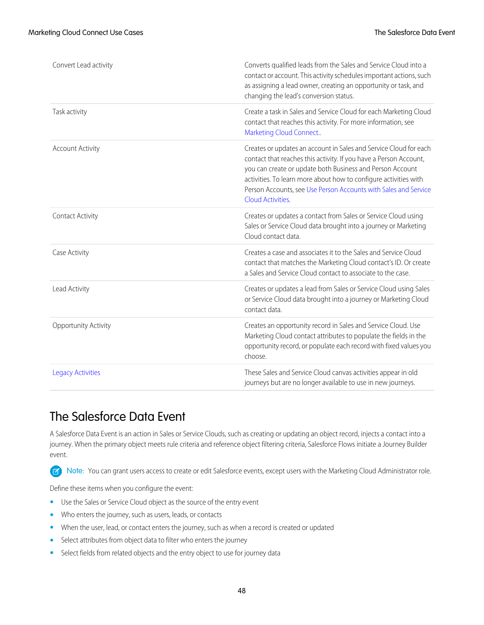| Convert Lead activity    | Converts qualified leads from the Sales and Service Cloud into a<br>contact or account. This activity schedules important actions, such<br>as assigning a lead owner, creating an opportunity or task, and<br>changing the lead's conversion status.                                                                                                            |
|--------------------------|-----------------------------------------------------------------------------------------------------------------------------------------------------------------------------------------------------------------------------------------------------------------------------------------------------------------------------------------------------------------|
| Task activity            | Create a task in Sales and Service Cloud for each Marketing Cloud<br>contact that reaches this activity. For more information, see<br>Marketing Cloud Connect                                                                                                                                                                                                   |
| <b>Account Activity</b>  | Creates or updates an account in Sales and Service Cloud for each<br>contact that reaches this activity. If you have a Person Account,<br>you can create or update both Business and Person Account<br>activities. To learn more about how to configure activities with<br>Person Accounts, see Use Person Accounts with Sales and Service<br>Cloud Activities. |
| Contact Activity         | Creates or updates a contact from Sales or Service Cloud using<br>Sales or Service Cloud data brought into a journey or Marketing<br>Cloud contact data                                                                                                                                                                                                         |
| Case Activity            | Creates a case and associates it to the Sales and Service Cloud<br>contact that matches the Marketing Cloud contact's ID. Or create<br>a Sales and Service Cloud contact to associate to the case.                                                                                                                                                              |
| Lead Activity            | Creates or updates a lead from Sales or Service Cloud using Sales<br>or Service Cloud data brought into a journey or Marketing Cloud<br>contact data.                                                                                                                                                                                                           |
| Opportunity Activity     | Creates an opportunity record in Sales and Service Cloud. Use<br>Marketing Cloud contact attributes to populate the fields in the<br>opportunity record, or populate each record with fixed values you<br>choose.                                                                                                                                               |
| <b>Legacy Activities</b> | These Sales and Service Cloud canvas activities appear in old<br>journeys but are no longer available to use in new journeys.                                                                                                                                                                                                                                   |

### <span id="page-51-0"></span>The Salesforce Data Event

A Salesforce Data Event is an action in Sales or Service Clouds, such as creating or updating an object record, injects a contact into a journey. When the primary object meets rule criteria and reference object filtering criteria, Salesforce Flows initiate a Journey Builder event.

 $\blacksquare$ Note: You can grant users access to create or edit Salesforce events, except users with the Marketing Cloud Administrator role.

Define these items when you configure the event:

- **•** Use the Sales or Service Cloud object as the source of the entry event
- **•** Who enters the journey, such as users, leads, or contacts
- **•** When the user, lead, or contact enters the journey, such as when a record is created or updated
- **•** Select attributes from object data to filter who enters the journey
- **•** Select fields from related objects and the entry object to use for journey data